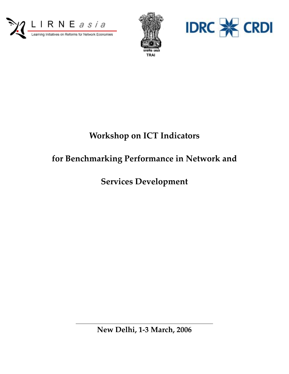





# **Workshop on ICT Indicators**

# **for Benchmarking Performance in Network and**

**Services Development** 

**New Delhi, 1-3 March, 2006**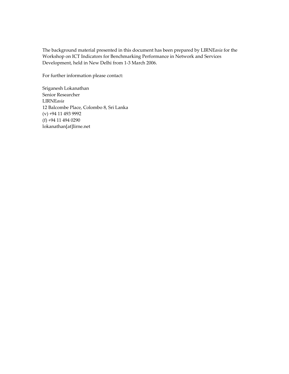The background material presented in this document has been prepared by LIRNE*asia* for the Workshop on ICT Indicators for Benchmarking Performance in Network and Services Development, held in New Delhi from 1-3 March 2006.

For further information please contact:

Sriganesh Lokanathan Senior Researcher LIRNE*asia* 12 Balcombe Place, Colombo 8, Sri Lanka (v) +94 11 493 9992 (f) +94 11 494 0290 lokanathan[at]lirne.net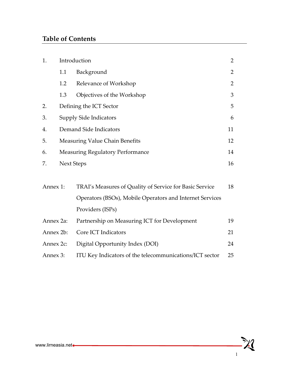## **Table of Contents**

| 1.        |                   | Introduction                                             |                |  |  |
|-----------|-------------------|----------------------------------------------------------|----------------|--|--|
|           | 1.1               | Background                                               | $\overline{2}$ |  |  |
|           | 1.2               | Relevance of Workshop                                    | $\overline{2}$ |  |  |
|           | 1.3               | Objectives of the Workshop                               | 3              |  |  |
| 2.        |                   | Defining the ICT Sector                                  | 5              |  |  |
| 3.        |                   | <b>Supply Side Indicators</b>                            | 6              |  |  |
| 4.        |                   | Demand Side Indicators                                   | 11             |  |  |
| 5.        |                   | <b>Measuring Value Chain Benefits</b>                    | 12             |  |  |
| 6.        |                   | <b>Measuring Regulatory Performance</b>                  | 14             |  |  |
| 7.        | <b>Next Steps</b> |                                                          |                |  |  |
|           |                   | TRAI's Measures of Quality of Service for Basic Service  | 18             |  |  |
| Annex 1:  |                   | Operators (BSOs), Mobile Operators and Internet Services |                |  |  |
|           |                   | Providers (ISPs)                                         |                |  |  |
| Annex 2a: |                   | Partnership on Measuring ICT for Development             |                |  |  |
| Annex 2b: |                   | Core ICT Indicators                                      |                |  |  |
|           | Annex 2c:         | Digital Opportunity Index (DOI)                          |                |  |  |
| Annex 3:  |                   | ITU Key Indicators of the telecommunications/ICT sector  |                |  |  |

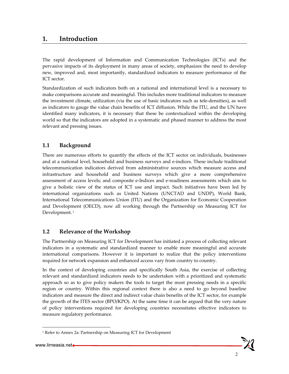## **1. Introduction**

The rapid development of Information and Communication Technologies (ICTs) and the pervasive impacts of its deployment in many areas of society, emphasizes the need to develop new, improved and, most importantly, standardized indicators to measure performance of the ICT sector.

Standardization of such indicators both on a national and international level is a necessary to make comparisons accurate and meaningful. This includes more traditional indicators to measure the investment climate, utilization (via the use of basic indicators such as tele-densities), as well as indicators to gauge the value chain benefits of ICT diffusion. While the ITU, and the UN have identified many indicators, it is necessary that these be contextualized within the developing world so that the indicators are adopted in a systematic and phased manner to address the most relevant and pressing issues.

### **1.1 Background**

There are numerous efforts to quantify the effects of the ICT sector on individuals, businesses and at a national level, household and business surveys and e-indices. These include traditional telecommunication indicators derived from administrative sources which measure access and infrastructure and household and business surveys which give a more comprehensive assessment of access levels; and composite e-Indices and e-readiness assessments which aim to give a holistic view of the status of ICT use and impact. Such initiatives have been led by international organizations such as United Nations (UNCTAD and UNDP), World Bank, International Telecommunications Union (ITU) and the Organization for Economic Cooperation and Development (OECD), now all working through the Partnership on Measuring ICT for Development.<sup>1</sup>

### **1.2 Relevance of the Workshop**

The Partnership on Measuring ICT for Development has initiated a process of collecting relevant indicators in a systematic and standardized manner to enable more meaningful and accurate international comparisons. However it is important to realize that the policy interventions required for network expansion and enhanced access vary from country to country.

In the context of developing countries and specifically South Asia, the exercise of collecting relevant and standardized indicators needs to be undertaken with a prioritized and systematic approach so as to give policy makers the tools to target the most pressing needs in a specific region or country. Within this regional context there is also a need to go beyond baseline indicators and measure the direct and indirect value chain benefits of the ICT sector, for example the growth of the ITES sector (BPO/KPO). At the same time it can be argued that the very nature of policy interventions required for developing countries necessitates effective indicators to measure regulatory performance.

 $\overline{a}$ 



<sup>&</sup>lt;sup>1</sup> Refer to Annex 2a: Partnership on Measuring ICT for Development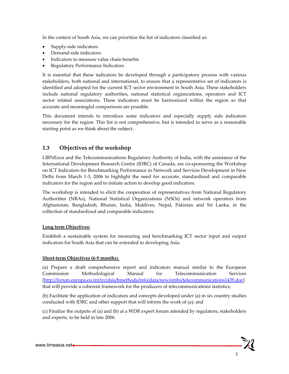In the context of South Asia, we can prioritize the list of indicators classified as:

- Supply-side indicators
- Demand-side indicators
- Indicators to measure value chain benefits
- Regulatory Performance Indicators

It is essential that these indicators be developed through a participatory process with various stakeholders, both national and international, to ensure that a representative set of indicators is identified and adopted for the current ICT sector environment in South Asia. These stakeholders include national regulatory authorities, national statistical organizations, operators and ICT sector related associations. These indicators must be harmonized within the region so that accurate and meaningful comparisons are possible.

This document intends to introduce some indicators and especially supply side indicators necessary for the region. This list is not comprehensive, but is intended to serve as a reasonable starting point as we think about the subject.

## **1.3 Objectives of the workshop**

LIRNE*asia* and the Telecommunications Regulatory Authority of India, with the assistance of the International Development Research Centre (IDRC) of Canada, are co-sponsoring the Workshop on ICT Indicators for Benchmarking Performance in Network and Services Development in New Delhi from March 1-3, 2006 to highlight the need for accurate, standardized and comparable indicators for the region and to initiate action to develop good indicators.

The workshop is intended to elicit the cooperation of representatives from National Regulatory Authorities (NRAs), National Statistical Organizations (NSOs) and network operators from Afghanistan, Bangladesh, Bhutan, India, Maldives, Nepal, Pakistan and Sri Lanka, in the collection of standardized and comparable indicators.

#### **Long term Objectives:**

Establish a sustainable system for measuring and benchmarking ICT sector input and output indicators for South Asia that can be extended to developing Asia.

#### **Short-term Objectives (6-9 months**):

(a) Prepare a draft comprehensive report and indicators manual similar to the European Commission Methodological Manual for Telecommunication Services [http://forum.europa.eu.int/irc/dsis/bmethods/info/data/new/embs/telecommunications1439.doc] that will provide a coherent framework for the producers of telecommunications statistics;

(b) Facilitate the application of indicators and concepts developed under (a) in six country studies conducted with IDRC and other support that will inform the work of (a); and

(c) Finalize the outputs of (a) and (b) at a WDR expert forum attended by regulators, stakeholders and experts, to be held in late 2006.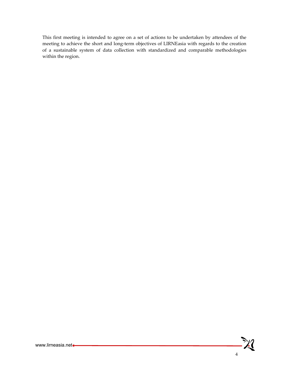This first meeting is intended to agree on a set of actions to be undertaken by attendees of the meeting to achieve the short and long-term objectives of LIRNEasia with regards to the creation of a sustainable system of data collection with standardized and comparable methodologies within the region.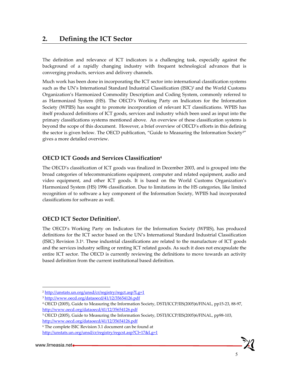## **2. Defining the ICT Sector**

The definition and relevance of ICT indicators is a challenging task, especially against the background of a rapidly changing industry with frequent technological advances that is converging products, services and delivery channels.

Much work has been done in incorporating the ICT sector into international classification systems such as the UN's International Standard Industrial Classification (ISIC)<sup>2</sup> and the World Customs Organization's Harmonized Commodity Description and Coding System, commonly referred to as Harmonized System (HS). The OECD's Working Party on Indicators for the Information Society (WPIIS) has sought to promote incorporation of relevant ICT classifications. WPIIS has itself produced definitions of ICT goods, services and industry which been used as input into the primary classifications systems mentioned above. An overview of these classification systems is beyond the scope of this document. However, a brief overview of OECD's efforts in this defining the sector is given below. The OECD publication, "Guide to Measuring the Information Society<sup>3"</sup> gives a more detailed overview.

### **OECD ICT Goods and Services Classification4**

The OECD's classification of ICT goods was finalized in December 2003, and is grouped into the broad categories of telecommunications equipment, computer and related equipment, audio and video equipment, and other ICT goods. It is based on the World Customs Organization's Harmonized System (HS) 1996 classification. Due to limitations in the HS categories, like limited recognition of to software a key component of the Information Society, WPIIS had incorporated classifications for software as well.

### **OECD ICT Sector Definition5.**

The OECD's Working Party on Indicators for the Information Society (WPIIS), has produced definitions for the ICT sector based on the UN's International Standard Industrial Classification (ISIC) Revision 3.16. These industrial classifications are related to the manufacture of ICT goods and the services industry selling or renting ICT related goods. As such it does not encapsulate the entire ICT sector. The OECD is currently reviewing the definitions to move towards an activity based definition from the current institutional based definition.

 $\overline{a}$ 



<sup>2</sup> http://unstats.un.org/unsd/cr/registry/regct.asp?Lg=1

<sup>3</sup> http://www.oecd.org/dataoecd/41/12/35654126.pdf

<sup>4</sup> OECD (2005), Guide to Measuring the Information Society, DSTI/ICCP/IIS(2005)6/FINAL, pp15-23, 88-97, http://www.oecd.org/dataoecd/41/12/35654126.pdf

<sup>5</sup> OECD (2005), Guide to Measuring the Information Society, DSTI/ICCP/IIS(2005)6/FINAL, pp98-103, http://www.oecd.org/dataoecd/41/12/35654126.pdf

<sup>6</sup> The complete ISIC Revision 3.1 document can be found at

http://unstats.un.org/unsd/cr/registry/regcst.asp?Cl=17&Lg=1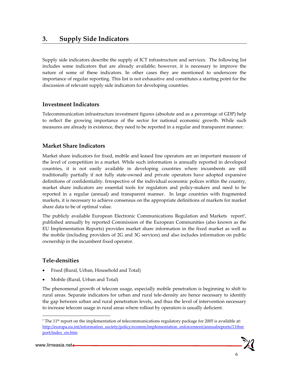## **3. Supply Side Indicators**

Supply side indicators describe the supply of ICT infrastructure and services. The following list includes some indicators that are already available; however, it is necessary to improve the nature of some of these indicators. In other cases they are mentioned to underscore the importance of regular reporting. This list is not exhaustive and constitutes a starting point for the discussion of relevant supply side indicators for developing countries.

### **Investment Indicators**

Telecommunication infrastructure investment figures (absolute and as a percentage of GDP) help to reflect the growing importance of the sector for national economic growth. While such measures are already in existence, they need to be reported in a regular and transparent manner.

### **Market Share Indicators**

Market share indicators for fixed, mobile and leased line operators are an important measure of the level of competition in a market. While such information is annually reported in developed countries, it is not easily available in developing countries where incumbents are still traditionally partially if not fully state-owned and private operators have adopted expansive definitions of confidentiality. Irrespective of the individual economic polices within the country, market share indicators are essential tools for regulators and policy-makers and need to be reported in a regular (annual) and transparent manner. In large countries with fragmented markets, it is necessary to achieve consensus on the appropriate definitions of markets for market share data to be of optimal value.

The publicly available European Electronic Communications Regulation and Markets report<sup>7</sup>, published annually by reported Commission of the European Communities (also known as the EU Implementation Reports) provides market share information in the fixed market as well as the mobile (including providers of 2G and 3G services) and also includes information on public ownership in the incumbent fixed operator.

#### **Tele-densities**

- Fixed (Rural, Urban, Household and Total)
- Mobile (Rural, Urban and Total)

The phenomenal growth of telecom usage, especially mobile penetration is beginning to shift to rural areas. Separate indicators for urban and rural tele-density are hence necessary to identify the gap between urban and rural penetration levels, and thus the level of intervention necessary to increase telecom usage in rural areas where rollout by operators is usually deficient.

 $\overline{a}$ 

<sup>7</sup> The 11th report on the implementation of telecommunications regulatory package for 2005 is available at: http://europa.eu.int/information\_society/policy/ecomm/implementation\_enforcement/annualreports/11thre port/index\_en.htm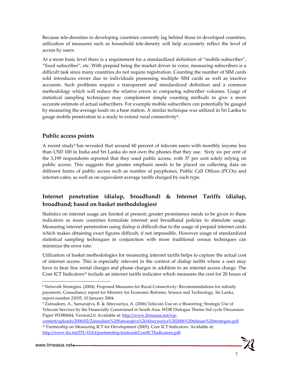Because tele-densities in developing countries currently lag behind those in developed countries, utilization of measures such as household tele-density will help accurately reflect the level of access by users.

At a more basic level there is a requirement for a standardized definition of "mobile subscriber", "fixed subscriber", etc. With prepaid being the market driver in voice, measuring subscribers is a difficult task since many countries do not require registration. Counting the number of SIM cards sold introduces errors due to individuals possessing multiple SIM cards as well as inactive accounts. Such problems require a transparent and standardized definition and a common methodology which will reduce the relative errors in comparing subscriber volumes. Usage of statistical sampling techniques may complement simple counting methods to give a more accurate estimate of actual subscribers. For example mobile subscribers can potentially be gauged by measuring the average loads on a base station. A similar technique was utilized in Sri Lanka to gauge mobile penetration in a study to extend rural connectivity<sup>8</sup>.

### **Public access points**

A recent study9 has revealed that around 60 percent of telecom users with monthly income less than USD 100 in India and Sri Lanka do not own the phones that they use. Sixty six per cent of the 3,199 respondents reported that they used public access, with 37 per cent solely relying on public access. This suggests that greater emphasis needs to be placed on collecting data on different forms of public access such as number of payphones, Public Call Offices (PCOs) and internet-cafes, as well as on equivalent average tariffs charged by each type.

## **Internet penetration (dialup, broadband) & Internet Tariffs (dialup, broadband; based on basket methodologies)**

Statistics on internet usage are limited at present; greater prominence needs to be given to these indicators as more countries formulate internet and broadband policies to stimulate usage. Measuring internet penetration using dialup is difficult due to the usage of prepaid internet cards which makes obtaining exact figures difficult, if not impossible. However usage of standardized statistical sampling techniques in conjunction with more traditional census techniques can minimize the error rate.

Utilization of basket methodologies for measuring internet tariffs helps to capture the actual cost of internet access. This is especially relevant in the context of dialup tariffs where a user may have to bear line rental charges and phone charges in addition to an internet access charge. The Core ICT Indicators<sup>10</sup> include an internet tariffs indicator which measures the cost for 20 hours of

 $\overline{a}$ 

7

<sup>&</sup>lt;sup>8</sup> Network Strategies. (2004). Proposed Measures for Rural Connectivity: Recommendations for subsidy payments. Consultancy report for Ministry for Economic Reforms, Science and Technology, Sri Lanka. report number 23035, 10 January 2004.

<sup>9</sup> Zainudeen, A., Samarajiva, R. & Abeysuriya, A. (2006) Telecom Use on a Shoestring: Strategic Use of Telecom Services by the Financially Constrained in South Asia. WDR Dialogue Theme 3rd cycle Discussion Paper WDR0604, Version2.0. Available at: http://www.lirneasia.net/wp-

content/uploads/2006/02/Zainudeen%20Samarajiva%20Abeysuriya%202006%20teleuse%20strategies.pdf <sup>10</sup> Partnership on Measuring ICT for Development (2005), Core ICT Indicators. Available at: http://www.itu.int/ITU-D/ict/partnership/material/CoreICTIndicators.pdf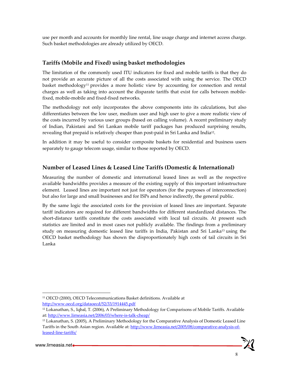use per month and accounts for monthly line rental, line usage charge and internet access charge. Such basket methodologies are already utilized by OECD.

## **Tariffs (Mobile and Fixed) using basket methodologies**

The limitation of the commonly used ITU indicators for fixed and mobile tariffs is that they do not provide an accurate picture of all the costs associated with using the service. The OECD basket methodology<sup>11</sup> provides a more holistic view by accounting for connection and rental charges as well as taking into account the disparate tariffs that exist for calls between mobilefixed, mobile-mobile and fixed-fixed networks.

The methodology not only incorporates the above components into its calculations, but also differentiates between the low user, medium user and high user to give a more realistic view of the costs incurred by various user groups (based on calling volume). A recent preliminary study of Indian, Pakistani and Sri Lankan mobile tariff packages has produced surprising results, revealing that prepaid is relatively cheaper than post-paid in Sri Lanka and India<sup>12</sup>.

In addition it may be useful to consider composite baskets for residential and business users separately to gauge telecom usage, similar to those reported by OECD.

## **Number of Leased Lines & Leased Line Tariffs (Domestic & International)**

Measuring the number of domestic and international leased lines as well as the respective available bandwidths provides a measure of the existing supply of this important infrastructure element. Leased lines are important not just for operators (for the purposes of interconnection) but also for large and small businesses and for ISPs and hence indirectly, the general public.

By the same logic the associated costs for the provision of leased lines are important. Separate tariff indicators are required for different bandwidths for different standardized distances. The short-distance tariffs constitute the costs associated with local tail circuits. At present such statistics are limited and in most cases not publicly available. The findings from a preliminary study on measuring domestic leased line tariffs in India, Pakistan and Sri Lanka<sup>13</sup> using the OECD basket methodology has shown the disproportionately high costs of tail circuits in Sri Lanka

-

<sup>11</sup> OECD (2000), OECD Telecommunications Basket definitions. Available at http://www.oecd.org/dataoecd/52/33/1914445.pdf

<sup>12</sup> Lokanathan, S., Iqbal, T. (2006), A Preliminary Methodology for Comparisons of Mobile Tariffs. Available at: http://www.lirneasia.net/2006/03/where-is-talk-cheap/

<sup>13</sup> Lokanathan, S. (2005), A Preliminary Methodology for the Comparative Analysis of Domestic Leased Line Tariffs in the South Asian region. Available at: http://www.lirneasia.net/2005/08/comparative-analysis-ofleased-line-tariffs/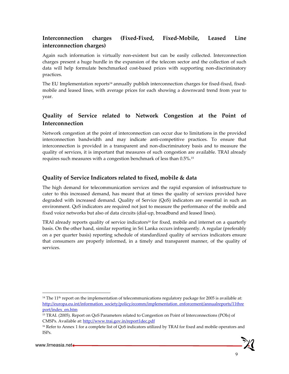## **Interconnection charges (Fixed-Fixed, Fixed-Mobile, Leased Line interconnection charges)**

Again such information is virtually non-existent but can be easily collected. Interconnection charges present a huge hurdle in the expansion of the telecom sector and the collection of such data will help formulate benchmarked cost-based prices with supporting non-discriminatory practices.

The EU Implementation reports<sup>14</sup> annually publish interconnection charges for fixed-fixed, fixedmobile and leased lines, with average prices for each showing a downward trend from year to year.

## **Quality of Service related to Network Congestion at the Point of Interconnection**

Network congestion at the point of interconnection can occur due to limitations in the provided interconnection bandwidth and may indicate anti-competitive practices. To ensure that interconnection is provided in a transparent and non-discriminatory basis and to measure the quality of services, it is important that measures of such congestion are available. TRAI already requires such measures with a congestion benchmark of less than 0.5%.15

## **Quality of Service Indicators related to fixed, mobile & data**

The high demand for telecommunication services and the rapid expansion of infrastructure to cater to this increased demand, has meant that at times the quality of services provided have degraded with increased demand. Quality of Service (QoS) indicators are essential in such an environment. QoS indicators are required not just to measure the performance of the mobile and fixed voice networks but also of data circuits (dial-up, broadband and leased lines).

TRAI already reports quality of service indicators<sup>16</sup> for fixed, mobile and internet on a quarterly basis. On the other hand, similar reporting in Sri Lanka occurs infrequently. A regular (preferably on a per quarter basis) reporting schedule of standardized quality of services indicators ensure that consumers are properly informed, in a timely and transparent manner, of the quality of services.

-

9

<sup>&</sup>lt;sup>14</sup> The 11<sup>th</sup> report on the implementation of telecommunications regulatory package for 2005 is available at: http://europa.eu.int/information\_society/policy/ecomm/implementation\_enforcement/annualreports/11thre port/index\_en.htm

<sup>15</sup> TRAI. (2005). Report on QoS Parameters related to Congestion on Point of Interconnections (POIs) of CMSPs. Available at: http://www.trai.gov.in/report1dec.pdf

<sup>&</sup>lt;sup>16</sup> Refer to Annex 1 for a complete list of QoS indicators utilized by TRAI for fixed and mobile operators and ISPs.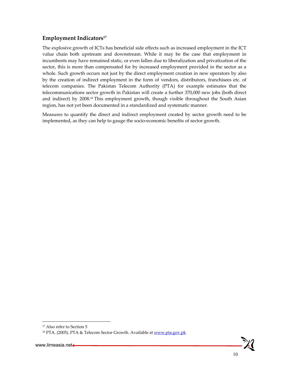## **Employment Indicators<sup>17</sup>**

The explosive growth of ICTs has beneficial side effects such as increased employment in the ICT value chain both upstream and downstream. While it may be the case that employment in incumbents may have remained static, or even fallen due to liberalization and privatization of the sector, this is more than compensated for by increased employment provided in the sector as a whole. Such growth occurs not just by the direct employment creation in new operators by also by the creation of indirect employment in the form of vendors, distributors, franchisees etc. of telecom companies. The Pakistan Telecom Authority (PTA) for example estimates that the telecommunications sector growth in Pakistan will create a further 370,000 new jobs (both direct and indirect) by 2008.18 This employment growth, though visible throughout the South Asian region, has not yet been documented in a standardized and systematic manner.

Measures to quantify the direct and indirect employment created by sector growth need to be implemented, as they can help to gauge the socio-economic benefits of sector growth.

 $\overline{a}$ 



<sup>&</sup>lt;sup>17</sup> Also refer to Section 5

<sup>&</sup>lt;sup>18</sup> PTA. (2005). PTA & Telecom Sector Growth. Available at www.pta.gov.pk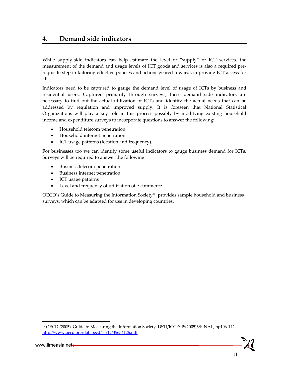## **4. Demand side indicators**

While supply-side indicators can help estimate the level of "supply" of ICT services, the measurement of the demand and usage levels of ICT goods and services is also a required prerequisite step in tailoring effective policies and actions geared towards improving ICT access for all.

Indicators need to be captured to gauge the demand level of usage of ICTs by business and residential users. Captured primarily through surveys, these demand side indicators are necessary to find out the actual utilization of ICTs and identify the actual needs that can be addressed by regulation and improved supply. It is foreseen that National Statistical Organizations will play a key role in this process possibly by modifying existing household income and expenditure surveys to incorporate questions to answer the following:

- Household telecom penetration
- Household internet penetration
- ICT usage patterns (location and frequency).

For businesses too we can identify some useful indicators to gauge business demand for ICTs. Surveys will be required to answer the following:

- Business telecom penetration
- Business internet penetration
- ICT usage patterns
- Level and frequency of utilization of e-commerce

OECD's Guide to Measuring the Information Society<sup>19</sup>, provides sample household and business surveys, which can be adapted for use in developing countries.

11

-

<sup>19</sup> OECD (2005), Guide to Measuring the Information Society, DSTI/ICCP/IIS(2005)6/FINAL, pp106-142, http://www.oecd.org/dataoecd/41/12/35654126.pdf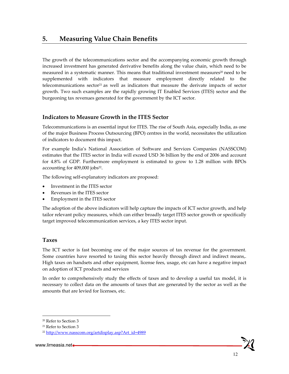The growth of the telecommunications sector and the accompanying economic growth through increased investment has generated derivative benefits along the value chain, which need to be measured in a systematic manner. This means that traditional investment measures<sup>20</sup> need to be supplemented with indicators that measure employment directly related to the telecommunications sector<sup>21</sup> as well as indicators that measure the derivate impacts of sector growth. Two such examples are the rapidly growing IT Enabled Services (ITES) sector and the burgeoning tax revenues generated for the government by the ICT sector.

### **Indicators to Measure Growth in the ITES Sector**

Telecommunications is an essential input for ITES. The rise of South Asia, especially India, as one of the major Business Process Outsourcing (BPO) centres in the world, necessitates the utilization of indicators to document this impact.

For example India's National Association of Software and Services Companies (NASSCOM) estimates that the ITES sector in India will exceed USD 36 billion by the end of 2006 and account for 4.8% of GDP. Furthermore employment is estimated to grow to 1.28 million with BPOs accounting for 409,000 jobs<sup>22</sup>.

The following self-explanatory indicators are proposed:

- Investment in the ITES sector
- Revenues in the ITES sector
- Employment in the ITES sector

The adoption of the above indicators will help capture the impacts of ICT sector growth, and help tailor relevant policy measures, which can either broadly target ITES sector growth or specifically target improved telecommunication services, a key ITES sector input.

#### **Taxes**

The ICT sector is fast becoming one of the major sources of tax revenue for the government. Some countries have resorted to taxing this sector heavily through direct and indirect means,. High taxes on handsets and other equipment, license fees, usage, etc can have a negative impact on adoption of ICT products and services

In order to comprehensively study the effects of taxes and to develop a useful tax model, it is necessary to collect data on the amounts of taxes that are generated by the sector as well as the amounts that are levied for licenses, etc.

 $\overline{\phantom{a}}$ 

<sup>20</sup> Refer to Section 3

<sup>21</sup> Refer to Section 3

<sup>22</sup> http://www.nasscom.org/artdisplay.asp?Art\_id=4989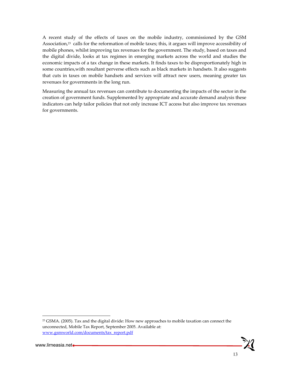A recent study of the effects of taxes on the mobile industry, commissioned by the GSM Association,<sup>23</sup> calls for the reformation of mobile taxes; this, it argues will improve accessibility of mobile phones, whilst improving tax revenues for the government. The study, based on taxes and the digital divide, looks at tax regimes in emerging markets across the world and studies the economic impacts of a tax change in these markets. It finds taxes to be disproportionately high in some countries,with resultant perverse effects such as black markets in handsets. It also suggests that cuts in taxes on mobile handsets and services will attract new users, meaning greater tax revenues for governments in the long run.

Measuring the annual tax revenues can contribute to documenting the impacts of the sector in the creation of government funds. Supplemented by appropriate and accurate demand analysis these indicators can help tailor policies that not only increase ICT access but also improve tax revenues for governments.

<sup>&</sup>lt;sup>23</sup> GSMA. (2005). Tax and the digital divide: How new approaches to mobile taxation can connect the unconnected, Mobile Tax Report, September 2005. Available at: www.gsmworld.com/documents/tax\_report.pdf



-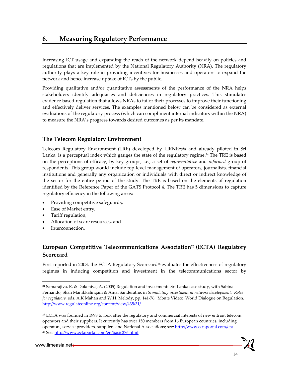Increasing ICT usage and expanding the reach of the network depend heavily on policies and regulations that are implemented by the National Regulatory Authority (NRA). The regulatory authority plays a key role in providing incentives for businesses and operators to expand the network and hence increase uptake of ICTs by the public.

Providing qualitative and/or quantitative assessments of the performance of the NRA helps stakeholders identify adequacies and deficiencies in regulatory practices. This stimulates evidence based regulation that allows NRAs to tailor their processes to improve their functioning and effectively deliver services. The examples mentioned below can be considered as external evaluations of the regulatory process (which can compliment internal indicators within the NRA) to measure the NRA's progress towards desired outcomes as per its mandate.

## **The Telecom Regulatory Environment**

Telecom Regulatory Environment (TRE) developed by LIRNE*asia* and already piloted in Sri Lanka, is a perceptual index which gauges the state of the regulatory regime.24 The TRE is based on the perceptions of efficacy, by key groups, i.e., a set of *representative* and *informed* group of respondents. This group would include top-level management of operators, journalists, financial institutions and generally any organization or individuals with direct or indirect knowledge of the sector for the entire period of the study. The TRE is based on the elements of regulation identified by the Reference Paper of the GATS Protocol 4. The TRE has 5 dimensions to capture regulatory efficiency in the following areas:

- Providing competitive safeguards,
- Ease of Market entry,
- Tariff regulation,
- Allocation of scare resources, and
- Interconnection.

## European Competitive Telecommunications Association<sup>25</sup> (ECTA) Regulatory **Scorecard**

First reported in 2003, the ECTA Regulatory Scorecard<sup>26</sup> evaluates the effectiveness of regulatory regimes in inducing competition and investment in the telecommunications sector by

1

**<sup>24</sup>** Samarajiva, R. & Dokeniya, A. (2005) Regulation and investment: Sri Lanka case study, with Sabina Fernando, Shan Manikkalingam & Amal Sanderatne, in *Stimulating investment in network development: Roles for regulators*, eds. A.K Mahan and W.H. Melody, pp. 141-76. Monte Video: World Dialogue on Regulation. http://www.regulateonline.org/content/view/435/31/

 $25$  ECTA was founded in 1998 to look after the regulatory and commercial interests of new entrant telecom operators and their suppliers. It currently has over 150 members from 16 European countries, including operators, service providers, suppliers and National Associations; see: http://www.ectaportal.com/en/ <sup>26</sup> See: http://www.ectaportal.com/en/basic276.html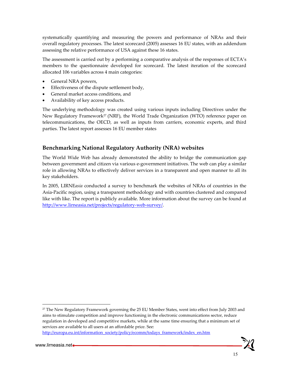systematically quantifying and measuring the powers and performance of NRAs and their overall regulatory processes. The latest scorecard (2005) assesses 16 EU states, with an addendum assessing the relative performance of USA against these 16 states.

The assessment is carried out by a performing a comparative analysis of the responses of ECTA's members to the questionnaire developed for scorecard. The latest iteration of the scorecard allocated 106 variables across 4 main categories:

- General NRA powers,
- Effectiveness of the dispute settlement body,
- General market access conditions, and
- Availability of key access products.

The underlying methodology was created using various inputs including Directives under the New Regulatory Framework<sup>27</sup> (NRF), the World Trade Organization (WTO) reference paper on telecommunications, the OECD, as well as inputs from carriers, economic experts, and third parties. The latest report assesses 16 EU member states

### **Benchmarking National Regulatory Authority (NRA) websites**

The World Wide Web has already demonstrated the ability to bridge the communication gap between government and citizen via various e-government initiatives. The web can play a similar role in allowing NRAs to effectively deliver services in a transparent and open manner to all its key stakeholders.

In 2005, LIRNE*asia* conducted a survey to benchmark the websites of NRAs of countries in the Asia-Pacific region, using a transparent methodology and with countries clustered and compared like with like. The report is publicly available. More information about the survey can be found at http://www.lirneasia.net/projects/regulatory-web-survey/.

 $27$  The New Regulatory Framework governing the 25 EU Member States, went into effect from July 2003 and aims to stimulate competition and improve functioning in the electronic communications sector, reduce regulation in developed and competitive markets, while at the same time ensuring that a minimum set of services are available to all users at an affordable price. See:

http://europa.eu.int/information\_society/policy/ecomm/todays\_framework/index\_en.htm

 $\overline{\phantom{a}}$ 

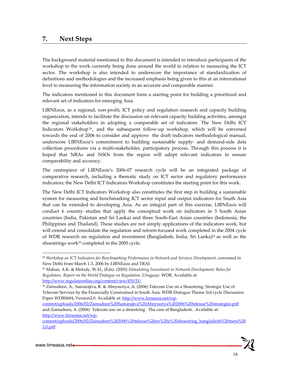## **7. Next Steps**

The background material mentioned in this document is intended to introduce participants of the workshop to the work currently being done around the world in relation to measuring the ICT sector. The workshop is also intended to underscore the importance of standardization of definitions and methodologies and the increased emphasis being given to this at an international level to measuring the information society in an accurate and comparable manner.

The indicators mentioned in this document form a starting point for building a prioritized and relevant set of indicators for emerging Asia.

LIRNE*asia*, as a regional, non-profit, ICT policy and regulation research and capacity building organization, intends to facilitate the discussion on relevant capacity building activities, amongst the regional stakeholders in adopting a comparable set of indicators. The New Delhi ICT Indicators Workshop<sup>28</sup>, and the subsequent follow-up workshop, which will be convened towards the end of 2006 to consider and approve the draft indicators methodological manual, underscore LIRNE*asia*'s commitment to building sustainable supply- and demand-side data collection procedures via a multi-stakeholder, participatory process. Through this process it is hoped that NRAs and NSOs from the region will adopt relevant indicators to ensure comparability and accuracy.

The centrepiece of LIRNE*asia*'s 2006-07 research cycle will be an integrated package of comparative research, including a thematic study on ICT sector and regulatory performance indicators; the New Delhi ICT Indicators Workshop constitutes the starting point for this work.

The New Delhi ICT Indicators Workshop also constitutes the first step in building a sustainable system for measuring and benchmarking ICT sector input and output indicators for South Asia that can be extended to developing Asia. As an integral part of this exercise, LIRNE*asia* will conduct 6 country studies that apply the conceptual work on indicators in 3 South Asian countries (India, Pakistan and Sri Lanka) and three South-East Asian countries (Indonesia, the Philippines and Thailand). These studies are not simply applications of the indicators work, but will extend and consolidate the regulation and reform-focused work completed in the 2004 cycle of WDR research on regulation and investment (Bangladesh, India, Sri Lanka)29 as well as the shoestrings work<sup>30</sup> completed in the 2005 cycle.

 $\overline{\phantom{a}}$ 

16

<sup>28</sup> *Workshop on ICT Indicators for Benchmarking Performance in Network and Services Development*, convened in New Delhi from March 1-3, 2006 by LIRNE*asia* and TRAI

<sup>29</sup> Mahan, A.K. & Melody, W.H., (Eds). (2005) *Stimulating Investment in Network Development: Roles for Regulators. Report on the World Dialogue on Regulation*. Uruguay: WDR. Available at: http://www.regulateonline.org/content/view/435/31/

<sup>30</sup> Zainudeen, A., Samarajiva, R. & Abeysuriya, A. (2006) Telecom Use on a Shoestring: Strategic Use of Telecom Services by the Financially Constrained in South Asia. WDR Dialogue Theme 3rd cycle Discussion Paper WDR0604, Version2.0. Available at: http://www.lirneasia.net/wp-

content/uploads/2006/02/Zainudeen%20Samarajiva%20Abeysuriya%202006%20teleuse%20strategies.pdf and Zainudeen, A. (2006) Telecom use on a shoestring: The case of Bangladesh. Available at: http://www.lirneasia.net/wp-

content/uploads/2006/02/Zainudeen%202006%20teleuse%20on%20a%20shoestring\_bangladesh%20meta%20 2.0.pdf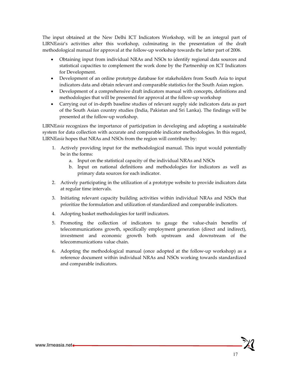The input obtained at the New Delhi ICT Indicators Workshop, will be an integral part of LIRNE*asia*'s activities after this workshop, culminating in the presentation of the draft methodological manual for approval at the follow-up workshop towards the latter part of 2006.

- Obtaining input from individual NRAs and NSOs to identify regional data sources and statistical capacities to complement the work done by the Partnership on ICT Indicators for Development.
- Development of an online prototype database for stakeholders from South Asia to input indicators data and obtain relevant and comparable statistics for the South Asian region.
- Development of a comprehensive draft indicators manual with concepts, definitions and methodologies that will be presented for approval at the follow-up workshop
- Carrying out of in-depth baseline studies of relevant supply side indicators data as part of the South Asian country studies (India, Pakistan and Sri Lanka). The findings will be presented at the follow-up workshop.

LIRNE*asia* recognizes the importance of participation in developing and adopting a sustainable system for data collection with accurate and comparable indicator methodologies. In this regard, LIRNE*asia* hopes that NRAs and NSOs from the region will contribute by:

- 1. Actively providing input for the methodological manual. This input would potentially be in the forms:
	- a. Input on the statistical capacity of the individual NRAs and NSOs
	- b. Input on national definitions and methodologies for indicators as well as primary data sources for each indicator.
- 2. Actively participating in the utilization of a prototype website to provide indicators data at regular time intervals.
- 3. Initiating relevant capacity building activities within individual NRAs and NSOs that prioritize the formulation and utilization of standardized and comparable indicators.
- 4. Adopting basket methodologies for tariff indicators.
- 5. Promoting the collection of indicators to gauge the value-chain benefits of telecommunications growth, specifically employment generation (direct and indirect), investment and economic growth both upstream and downstream of the telecommunications value chain.
- 6. Adopting the methodological manual (once adopted at the follow-up workshop) as a reference document within individual NRAs and NSOs working towards standardized and comparable indicators.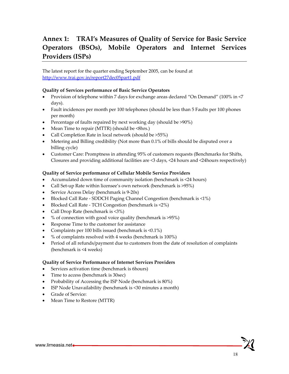## **Annex 1: TRAI's Measures of Quality of Service for Basic Service Operators (BSOs), Mobile Operators and Internet Services Providers (ISPs)**

The latest report for the quarter ending September 2005, can be found at http://www.trai.gov.in/report27dec05part1.pdf

#### **Quality of Services performance of Basic Service Operators**

- Provision of telephone within 7 days for exchange areas declared "On Demand" (100% in <7 days).
- Fault incidences per month per 100 telephones (should be less than 5 Faults per 100 phones per month)
- Percentage of faults repaired by next working day (should be >90%)
- Mean Time to repair (MTTR) (should be <8hrs.)
- Call Completion Rate in local network (should be >55%)
- Metering and Billing credibility (Not more than 0.1% of bills should be disputed over a billing cycle)
- Customer Care: Promptness in attending 95% of customers requests (Benchmarks for Shifts, Closures and providing additional facilities are <3 days, <24 hours and <24hours respectively)

#### **Quality of Service performance of Cellular Mobile Service Providers**

- Accumulated down time of community isolation (benchmark is <24 hours)
- Call Set-up Rate within licensee's own network (benchmark is >95%)
- Service Access Delay (benchmark is 9-20s)
- Blocked Call Rate SDDCH Paging Channel Congestion (benchmark is <1%)
- Blocked Call Rate TCH Congestion (benchmark is <2%)
- Call Drop Rate (benchmark is <3%)
- % of connection with good voice quality (benchmark is >95%)
- Response Time to the customer for assistance
- Complaints per 100 bills issued (benchmark is <0.1%)
- % of complaints resolved with 4 weeks (benchmark is 100%)
- Period of all refunds/payment due to customers from the date of resolution of complaints (benchmark is <4 weeks)

#### **Quality of Service Performance of Internet Services Providers**

- Services activation time (benchmark is 6hours)
- Time to access (benchmark is 30sec)
- Probability of Accessing the ISP Node (benchmark is  $80\%$ )
- ISP Node Unavailability (benchmark is <30 minutes a month)
- Grade of Service:
- Mean Time to Restore (MTTR)

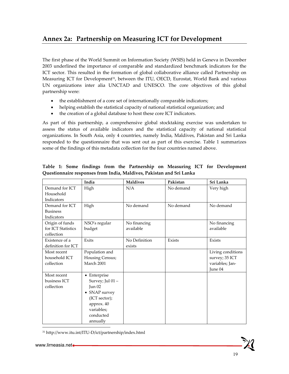## **Annex 2a: Partnership on Measuring ICT for Development**

The first phase of the World Summit on Information Society (WSIS) held in Geneva in December 2003 underlined the importance of comparable and standardized benchmark indicators for the ICT sector. This resulted in the formation of global collaborative alliance called Partnership on Measuring ICT for Development<sup>31</sup>, between the ITU, OECD, Eurostat, World Bank and various UN organizations inter alia UNCTAD and UNESCO. The core objectives of this global partnership were:

- the establishment of a core set of internationally comparable indicators;
- helping establish the statistical capacity of national statistical organization; and
- the creation of a global database to host these core ICT indicators.

As part of this partnership, a comprehensive global stocktaking exercise was undertaken to assess the status of available indicators and the statistical capacity of national statistical organizations. In South Asia, only 4 countries, namely India, Maldives, Pakistan and Sri Lanka responded to the questionnaire that was sent out as part of this exercise. Table 1 summarizes some of the findings of this metadata collection for the four countries named above.

|                    | India                | <b>Maldives</b> | Pakistan  | Sri Lanka         |
|--------------------|----------------------|-----------------|-----------|-------------------|
| Demand for ICT     | High                 | N/A             | No demand | Very high         |
| Household          |                      |                 |           |                   |
| Indicators         |                      |                 |           |                   |
| Demand for ICT     | High                 | No demand       | No demand | No demand         |
| <b>Business</b>    |                      |                 |           |                   |
| Indicators         |                      |                 |           |                   |
| Origin of funds    | NSO's regular        | No financing    |           | No financing      |
| for ICT Statistics | budget               | available       |           | available         |
| collection         |                      |                 |           |                   |
| Existence of a     | Exits                | No Definition   | Exists    | Exists            |
| definition for ICT |                      | exists          |           |                   |
| Most recent        | Population and       |                 |           | Living conditions |
| household ICT      | Housing Census;      |                 |           | survey; 35 ICT    |
| collection         | March 2001           |                 |           | variables; Jan-   |
|                    |                      |                 |           | June 04           |
| Most recent        | $\bullet$ Enterprise |                 |           |                   |
| business ICT       | Survey; Jul 01 -     |                 |           |                   |
| collection         | Jun $02$             |                 |           |                   |
|                    | • SNAP survey        |                 |           |                   |
|                    | (ICT sector);        |                 |           |                   |
|                    | approx. 40           |                 |           |                   |
|                    | variables;           |                 |           |                   |
|                    | conducted            |                 |           |                   |
|                    | annually             |                 |           |                   |

#### **Table 1: Some findings from the Partnership on Measuring ICT for Development Questionnaire responses from India, Maldives, Pakistan and Sri Lanka**

31 http://www.itu.int/ITU-D/ict/partnership/index.html

 $\overline{a}$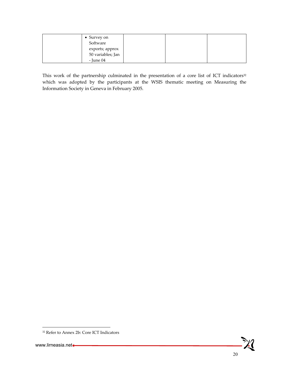| $\bullet$ Survey on<br>Software |  |  |
|---------------------------------|--|--|
| exports; approx                 |  |  |
| 50 variables; Jan               |  |  |
| - June 04                       |  |  |

This work of the partnership culminated in the presentation of a core list of ICT indicators<sup>32</sup> which was adopted by the participants at the WSIS thematic meeting on Measuring the Information Society in Geneva in February 2005.

1



<sup>32</sup> Refer to Annex 2b: Core ICT Indicators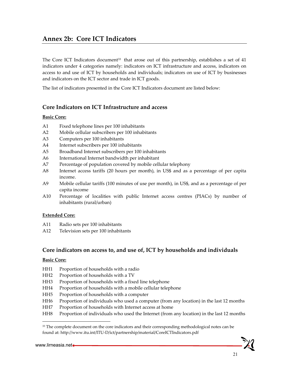## **Annex 2b: Core ICT Indicators**

The Core ICT Indicators document $33$  that arose out of this partnership, establishes a set of 41 indicators under 4 categories namely: indicators on ICT infrastructure and access, indicators on access to and use of ICT by households and individuals; indicators on use of ICT by businesses and indicators on the ICT sector and trade in ICT goods.

The list of indicators presented in the Core ICT Indicators document are listed below:

### **Core Indicators on ICT Infrastructure and access**

#### **Basic Core:**

- A1 Fixed telephone lines per 100 inhabitants
- A2 Mobile cellular subscribers per 100 inhabitants
- A3 Computers per 100 inhabitants
- A4 Internet subscribers per 100 inhabitants
- A5 Broadband Internet subscribers per 100 inhabitants
- A6 International Internet bandwidth per inhabitant
- A7 Percentage of population covered by mobile cellular telephony
- A8 Internet access tariffs (20 hours per month), in US\$ and as a percentage of per capita income.
- A9 Mobile cellular tariffs (100 minutes of use per month), in US\$, and as a percentage of per capita income
- A10 Percentage of localities with public Internet access centres (PIACs) by number of inhabitants (rural/urban)

#### **Extended Core:**

- A11 Radio sets per 100 inhabitants
- A12 Television sets per 100 inhabitants

#### **Core indicators on access to, and use of, ICT by households and individuals**

#### **Basic Core:**

- HH1 Proportion of households with a radio
- HH2 Proportion of households with a TV
- HH3 Proportion of households with a fixed line telephone
- HH4 Proportion of households with a mobile cellular telephone
- HH5 Proportion of households with a computer
- HH6 Proportion of individuals who used a computer (from any location) in the last 12 months
- HH7 Proportion of households with Internet access at home
- HH8 Proportion of individuals who used the Internet (from any location) in the last 12 months

 $\overline{\phantom{a}}$ 

<sup>&</sup>lt;sup>33</sup> The complete document on the core indicators and their corresponding methodological notes can be found at: http://www.itu.int/ITU-D/ict/partnership/material/CoreICTIndicators.pdf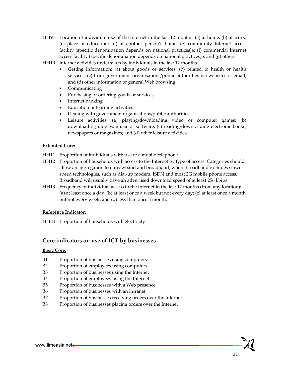- HH9 Location of individual use of the Internet in the last 12 months: (a) at home; (b) at work; (c) place of education; (d) at another person's home; (e) community Internet access facility (specific denomination depends on national practices)4; (f) commercial Internet access facility (specific denomination depends on national practices)5; and (g) others
- HH10 Internet activities undertaken by individuals in the last 12 months·
	- Getting information: (a) about goods or services; (b) related to health or health services; (c) from government organisations/public authorities via websites or email; and (d) other information or general Web browsing
	- Communicating
	- Purchasing or ordering goods or services
	- Internet banking
	- Education or learning activities
	- Dealing with government organisations/public authorities
	- Leisure activities: (a) playing/downloading video or computer games; (b) downloading movies, music or software; (c) reading/downloading electronic books, newspapers or magazines; and (d) other leisure activities

#### **Extended Core:**

- HH11 Proportion of individuals with use of a mobile telephone
- HH12 Proportion of households with access to the Internet by type of access: Categories should allow an aggregation to narrowband and broadband, where broadband excludes slower speed technologies, such as dial-up modem, ISDN and most 2G mobile phone access. Broadband will usually have an advertised download speed of at least 256 kbit/s.
- HH13 Frequency of individual access to the Internet in the last 12 months (from any location): (a) at least once a day; (b) at least once a week but not every day; (c) at least once a month but not every week; and (d) less than once a month.

#### **Reference Indicator:**

HHR1 Proportion of households with electricity

#### **Core indicators on use of ICT by businesses**

#### **Basic Core:**

- B1 Proportion of businesses using computers
- B2 Proportion of employees using computers
- B3 Proportion of businesses using the Internet
- B4 Proportion of employees using the Internet
- B5 Proportion of businesses with a Web presence
- B6 Proportion of businesses with an intranet
- B7 Proportion of businesses receiving orders over the Internet
- B8 Proportion of businesses placing orders over the Internet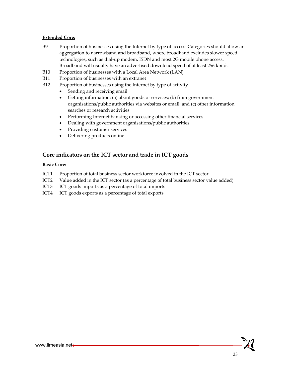#### **Extended Core:**

- B9 Proportion of businesses using the Internet by type of access: Categories should allow an aggregation to narrowband and broadband, where broadband excludes slower speed technologies, such as dial-up modem, ISDN and most 2G mobile phone access. Broadband will usually have an advertised download speed of at least 256 kbit/s.
- B10 Proportion of businesses with a Local Area Network (LAN)
- B11 Proportion of businesses with an extranet
- B12 Proportion of businesses using the Internet by type of activity
	- Sending and receiving email
	- Getting information: (a) about goods or services; (b) from government organisations/public authorities via websites or email; and (c) other information searches or research activities
	- Performing Internet banking or accessing other financial services
	- Dealing with government organisations/public authorities
	- Providing customer services
	- Delivering products online

#### **Core indicators on the ICT sector and trade in ICT goods**

#### **Basic Core:**

- ICT1 Proportion of total business sector workforce involved in the ICT sector
- ICT2 Value added in the ICT sector (as a percentage of total business sector value added)
- ICT3 ICT goods imports as a percentage of total imports
- ICT4 ICT goods exports as a percentage of total exports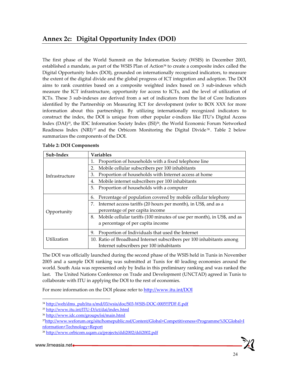The first phase of the World Summit on the Information Society (WSIS) in December 2003, established a mandate, as part of the WSIS Plan of Action<sup>34</sup> to create a composite index called the Digital Opportunity Index (DOI), grounded on internationally recognized indicators, to measure the extent of the digital divide and the global progress of ICT integration and adoption. The DOI aims to rank countries based on a composite weighted index based on 3 sub-indexes which measure the ICT infrastructure, opportunity for access to ICTs, and the level of utilization of ICTs. These 3 sub-indexes are derived from a set of indicators from the list of Core Indicators identified by the Partnership on Measuring ICT for development (refer to BOX XXX for more information about this partnership). By utilizing internationally recognized indicators to construct the index, the DOI is unique from other popular e-indices like ITU's Digital Access Index (DAI)35, the IDC Information Society Index (ISI)36, the World Economic Forum Networked Readiness Index (NRI) $^{37}$  and the Orbicom Monitoring the Digital Divide  $^{38}$ . Table 2 below summarizes the components of the DOI.

| Sub-Index      | <b>Variables</b>                                                              |
|----------------|-------------------------------------------------------------------------------|
|                | Proportion of households with a fixed telephone line<br>1.                    |
|                | Mobile cellular subscribers per 100 inhabitants<br>2.                         |
| Infrastructure | Proportion of households with Internet access at home<br>3.                   |
|                | Mobile internet subscribers per 100 inhabitants<br>4.                         |
|                | Proportion of households with a computer<br>5.                                |
|                | Percentage of population covered by mobile cellular telephony<br>6.           |
|                | Internet access tariffs (20 hours per month), in US\$, and as a<br>7.         |
| Opportunity    | percentage of per capita income                                               |
|                | Mobile cellular tariffs (100 minutes of use per month), in US\$, and as<br>8. |
|                | a percentage of per capita income                                             |
|                | Proportion of Individuals that used the Internet<br>9.                        |
| Utilization    | 10. Ratio of Broadband Internet subscribers per 100 inhabitants among         |
|                | Internet subscribers per 100 inhabitants                                      |

#### **Table 2: DOI Components**

The DOI was officially launched during the second phase of the WSIS held in Tunis in November 2005 and a sample DOI ranking was submitted at Tunis for 40 leading economies around the world. South Asia was represented only by India in this preliminary ranking and was ranked the last. The United Nations Conference on Trade and Development (UNCTAD) agreed in Tunis to collaborate with ITU in applying the DOI to the rest of economies.

For more information on the DOI please refer to http://www.itu.int/DOI

-

<sup>34</sup> http://web/dms\_pub/itu-s/md/03/wsis/doc/S03-WSIS-DOC-0005!!PDF-E.pdf

<sup>35</sup> http://www.itu.int/ITU-D/ict/dai/index.html

<sup>36</sup> http://www.idc.com/groups/isi/main.html

<sup>37</sup>http://www.weforum.org/site/homepublic.nsf/Content/Global+Competitiveness+Programme%5CGlobal+I nformation+Technology+Report

<sup>38</sup> http://www.orbicom.uqam.ca/projects/ddi2002/ddi2002.pdf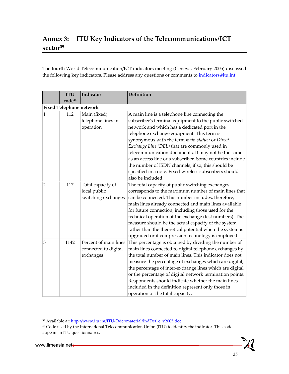## **Annex 3: ITU Key Indicators of the Telecommunications/ICT sector39**

The fourth World Telecommunication/ICT indicators meeting (Geneva, February 2005) discussed the following key indicators. Please address any questions or comments to *indicators@itu.int*.

|                | <b>ITU</b><br>code40           | Indicator                                                  | <b>Definition</b>                                                                                                                                                                                                                                                                                                                                                                                                                                                                                                                                                    |
|----------------|--------------------------------|------------------------------------------------------------|----------------------------------------------------------------------------------------------------------------------------------------------------------------------------------------------------------------------------------------------------------------------------------------------------------------------------------------------------------------------------------------------------------------------------------------------------------------------------------------------------------------------------------------------------------------------|
|                | <b>Fixed Telephone network</b> |                                                            |                                                                                                                                                                                                                                                                                                                                                                                                                                                                                                                                                                      |
| $\mathbf{1}$   | 112                            | Main (fixed)<br>telephone lines in<br>operation            | A main line is a telephone line connecting the<br>subscriber's terminal equipment to the public switched<br>network and which has a dedicated port in the<br>telephone exchange equipment. This term is<br>synonymous with the term main station or Direct<br>Exchange Line (DEL) that are commonly used in<br>telecommunication documents. It may not be the same<br>as an access line or a subscriber. Some countries include<br>the number of ISDN channels; if so, this should be<br>specified in a note. Fixed wireless subscribers should<br>also be included. |
| $\overline{2}$ | 117                            | Total capacity of<br>local public<br>switching exchanges   | The total capacity of public switching exchanges<br>corresponds to the maximum number of main lines that<br>can be connected. This number includes, therefore,<br>main lines already connected and main lines available<br>for future connection, including those used for the<br>technical operation of the exchange (test numbers). The<br>measure should be the actual capacity of the system<br>rather than the theoretical potential when the system is<br>upgraded or if compression technology is employed.                                                   |
| $\overline{3}$ | 1142                           | Percent of main lines<br>connected to digital<br>exchanges | This percentage is obtained by dividing the number of<br>main lines connected to digital telephone exchanges by<br>the total number of main lines. This indicator does not<br>measure the percentage of exchanges which are digital,<br>the percentage of inter-exchange lines which are digital<br>or the percentage of digital network termination points.<br>Respondents should indicate whether the main lines<br>included in the definition represent only those in<br>operation or the total capacity.                                                         |

 $\overline{\phantom{a}}$ 

<sup>&</sup>lt;sup>39</sup> Available at: http://www.itu.int/ITU-D/ict/material/IndDef\_e\_v2005.doc

<sup>&</sup>lt;sup>40</sup> Code used by the International Telecommunication Union (ITU) to identify the indicator. This code appears in ITU questionnaires.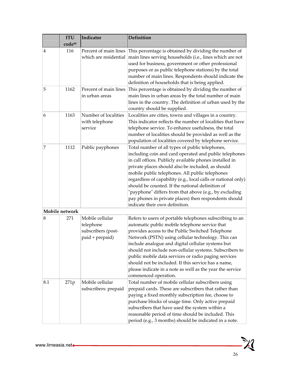|                | <b>ITU</b>     | Indicator                                                             | <b>Definition</b>                                                                                                                                                                                                                                                                                                                                                                                                                                                                                                                                      |
|----------------|----------------|-----------------------------------------------------------------------|--------------------------------------------------------------------------------------------------------------------------------------------------------------------------------------------------------------------------------------------------------------------------------------------------------------------------------------------------------------------------------------------------------------------------------------------------------------------------------------------------------------------------------------------------------|
|                | code40         |                                                                       |                                                                                                                                                                                                                                                                                                                                                                                                                                                                                                                                                        |
| 4              | 116            | Percent of main lines<br>which are residential                        | This percentage is obtained by dividing the number of<br>main lines serving households (i.e., lines which are not<br>used for business, government or other professional<br>purposes or as public telephone stations) by the total<br>number of main lines. Respondents should indicate the<br>definition of households that is being applied.                                                                                                                                                                                                         |
| 5              | 1162           | Percent of main lines<br>in urban areas                               | This percentage is obtained by dividing the number of<br>main lines in urban areas by the total number of main<br>lines in the country. The definition of urban used by the<br>country should be supplied.                                                                                                                                                                                                                                                                                                                                             |
| 6              | 1163           | Number of localities<br>with telephone<br>service                     | Localities are cities, towns and villages in a country.<br>This indicator reflects the number of localities that have<br>telephone service. To enhance usefulness, the total<br>number of localities should be provided as well as the<br>population of localities covered by telephone service.                                                                                                                                                                                                                                                       |
| $\overline{7}$ | 1112           | Public payphones                                                      | Total number of all types of public telephones,<br>including coin and card operated and public telephones<br>in call offices. Publicly available phones installed in<br>private places should also be included, as should<br>mobile public telephones. All public telephones<br>regardless of capability (e.g., local calls or national only)<br>should be counted. If the national definition of<br>"payphone" differs from that above (e.g., by excluding<br>pay phones in private places) then respondents should<br>indicate their own definition. |
|                | Mobile network |                                                                       |                                                                                                                                                                                                                                                                                                                                                                                                                                                                                                                                                        |
| 8              | 271            | Mobile cellular<br>telephone<br>subscribers (post-<br>paid + prepaid) | Refers to users of portable telephones subscribing to an<br>automatic public mobile telephone service that<br>provides access to the Public Switched Telephone<br>Network (PSTN) using cellular technology. This can<br>include analogue and digital cellular systems but<br>should not include non-cellular systems. Subscribers to<br>public mobile data services or radio paging services<br>should not be included. If this service has a name,<br>please indicate in a note as well as the year the service<br>commenced operation.               |
| 8.1            | 271p           | Mobile cellular<br>subscribers: prepaid                               | Total number of mobile cellular subscribers using<br>prepaid cards. These are subscribers that rather than<br>paying a fixed monthly subscription fee, choose to<br>purchase blocks of usage time. Only active prepaid<br>subscribers that have used the system within a<br>reasonable period of time should be included. This<br>period (e.g., 3 months) should be indicated in a note.                                                                                                                                                               |

 $-\lambda$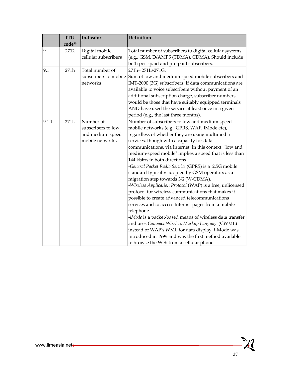|       | <b>ITU</b> | Indicator                                                              | Definition                                                                                                                                                                                                                                                                                                                                                                                                                                                                                                                                                                                                                                                                                                                                                                                                                                                                                                                                                                                                                    |
|-------|------------|------------------------------------------------------------------------|-------------------------------------------------------------------------------------------------------------------------------------------------------------------------------------------------------------------------------------------------------------------------------------------------------------------------------------------------------------------------------------------------------------------------------------------------------------------------------------------------------------------------------------------------------------------------------------------------------------------------------------------------------------------------------------------------------------------------------------------------------------------------------------------------------------------------------------------------------------------------------------------------------------------------------------------------------------------------------------------------------------------------------|
|       | code40     |                                                                        |                                                                                                                                                                                                                                                                                                                                                                                                                                                                                                                                                                                                                                                                                                                                                                                                                                                                                                                                                                                                                               |
| 9     | 2712       | Digital mobile<br>cellular subscribers                                 | Total number of subscribers to digital cellular systems<br>(e.g., GSM, D/AMPS (TDMA), CDMA). Should include<br>both post-paid and pre-paid subscribers.                                                                                                                                                                                                                                                                                                                                                                                                                                                                                                                                                                                                                                                                                                                                                                                                                                                                       |
| 9.1   | 271h       | Total number of<br>networks                                            | 271h=271L+271G.<br>subscribers to mobile Sum of low and medium speed mobile subscribers and<br>IMT-2000 (3G) subscribers. If data communications are<br>available to voice subscribers without payment of an<br>additional subscription charge, subscriber numbers<br>would be those that have suitably equipped terminals<br>AND have used the service at least once in a given<br>period (e.g., the last three months).                                                                                                                                                                                                                                                                                                                                                                                                                                                                                                                                                                                                     |
| 9.1.1 | 271L       | Number of<br>subscribers to low<br>and medium speed<br>mobile networks | Number of subscribers to low and medium speed<br>mobile networks (e.g., GPRS, WAP, iMode etc),<br>regardless of whether they are using multimedia<br>services, though with a capacity for data<br>communications, via Internet. In this context, "low and<br>medium-speed mobile" implies a speed that is less than<br>144 kbit/s in both directions.<br>-General Packet Radio Service (GPRS) is a 2.5G mobile<br>standard typically adopted by GSM operators as a<br>migration step towards 3G (W-CDMA).<br>-Wireless Application Protocol (WAP) is a free, unlicensed<br>protocol for wireless communications that makes it<br>possible to create advanced telecommunications<br>services and to access Internet pages from a mobile<br>telephone.<br>-iMode is a packet-based means of wireless data transfer<br>and uses Compact Wireless Markup Language(CWML)<br>instead of WAP's WML for data display. i-Mode was<br>introduced in 1999 and was the first method available<br>to browse the Web from a cellular phone. |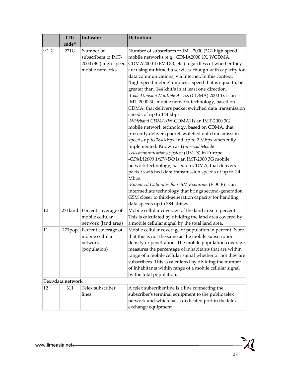|       | <b>ITU</b><br>code40 | Indicator                                                                   | <b>Definition</b>                                                                                                                                                                                                                                                                                                                                                                                                                                                                                                                                                                                                                                                                                                                                                                                                                                                                                                                                                                                                                                                                                                                                                                                                                                                             |
|-------|----------------------|-----------------------------------------------------------------------------|-------------------------------------------------------------------------------------------------------------------------------------------------------------------------------------------------------------------------------------------------------------------------------------------------------------------------------------------------------------------------------------------------------------------------------------------------------------------------------------------------------------------------------------------------------------------------------------------------------------------------------------------------------------------------------------------------------------------------------------------------------------------------------------------------------------------------------------------------------------------------------------------------------------------------------------------------------------------------------------------------------------------------------------------------------------------------------------------------------------------------------------------------------------------------------------------------------------------------------------------------------------------------------|
| 9.1.2 | 271G                 | Number of<br>subscribers to IMT-<br>2000 (3G) high-speed<br>mobile networks | Number of subscribers to IMT-2000 (3G) high-speed<br>mobile networks (e.g., CDMA2000 1X, WCDMA,<br>CDMA2000 1xEV-DO, etc.) regardless of whether they<br>are using multimedia services, though with capacity for<br>data communications, via Internet. In this context,<br>"high-speed mobile" implies a speed that is equal to, or<br>greater than, 144 kbit/s in at least one direction.<br>-Code Division Multiple Access (CDMA) 2000 1x is an<br>IMT-2000 3G mobile network technology, based on<br>CDMA, that delivers packet switched data transmission<br>speeds of up to 144 kbps.<br>-Wideband CDMA (W-CDMA) is an IMT-2000 3G<br>mobile network technology, based on CDMA, that<br>presently delivers packet switched data transmission<br>speeds up to 384 kbps and up to 2 Mbps when fully<br>implemented. Known as Universal Mobile<br>Telecommunications System (UMTS) in Europe.<br>-CDMA2000 1xEV-DO is an IMT-2000 3G mobile<br>network technology, based on CDMA, that delivers<br>packet switched data transmission speeds of up to 2.4<br>Mbps.<br>-Enhanced Data rates for GSM Evolution (EDGE) is an<br>intermediate technology that brings second-generation<br>GSM closer to third-generation capacity for handling<br>data speeds up to 384 kbits/s. |
| 10    | $271$ land           | Percent coverage of<br>mobile cellular<br>network (land area)               | Mobile cellular coverage of the land area in percent.<br>This is calculated by dividing the land area covered by<br>a mobile cellular signal by the total land area.                                                                                                                                                                                                                                                                                                                                                                                                                                                                                                                                                                                                                                                                                                                                                                                                                                                                                                                                                                                                                                                                                                          |
| 11    | 271pop               | Percent coverage of<br>mobile cellular<br>network<br>(population)           | Mobile cellular coverage of population in percent. Note<br>that this is not the same as the mobile subscription<br>density or penetration. The mobile population coverage<br>measures the percentage of inhabitants that are within<br>range of a mobile cellular signal whether or not they are<br>subscribers. This is calculated by dividing the number<br>of inhabitants within range of a mobile cellular signal<br>by the total population.                                                                                                                                                                                                                                                                                                                                                                                                                                                                                                                                                                                                                                                                                                                                                                                                                             |
|       | Text/data network    |                                                                             |                                                                                                                                                                                                                                                                                                                                                                                                                                                                                                                                                                                                                                                                                                                                                                                                                                                                                                                                                                                                                                                                                                                                                                                                                                                                               |
| 12    | 311                  | Telex subscriber<br>lines                                                   | A telex subscriber line is a line connecting the<br>subscriber's terminal equipment to the public telex<br>network and which has a dedicated port in the telex<br>exchange equipment.                                                                                                                                                                                                                                                                                                                                                                                                                                                                                                                                                                                                                                                                                                                                                                                                                                                                                                                                                                                                                                                                                         |

<u> XI</u>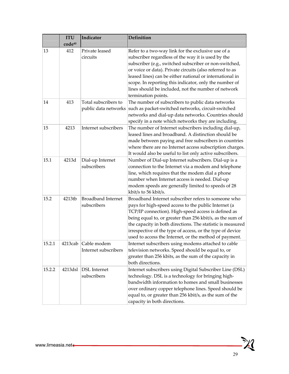|        | <b>ITU</b><br>code40 | Indicator                                    | <b>Definition</b>                                                                                                                                                                                                                                                                                                                                                                                                                  |
|--------|----------------------|----------------------------------------------|------------------------------------------------------------------------------------------------------------------------------------------------------------------------------------------------------------------------------------------------------------------------------------------------------------------------------------------------------------------------------------------------------------------------------------|
| 13     | 412                  | Private leased<br>circuits                   | Refer to a two-way link for the exclusive use of a<br>subscriber regardless of the way it is used by the<br>subscriber (e.g., switched subscriber or non-switched,<br>or voice or data). Private circuits (also referred to as<br>leased lines) can be either national or international in<br>scope. In reporting this indicator, only the number of<br>lines should be included, not the number of network<br>termination points. |
| 14     | 413                  | Total subscribers to<br>public data networks | The number of subscribers to public data networks<br>such as packet-switched networks, circuit-switched<br>networks and dial-up data networks. Countries should<br>specify in a note which networks they are including.                                                                                                                                                                                                            |
| 15     | 4213                 | Internet subscribers                         | The number of Internet subscribers including dial-up,<br>leased lines and broadband. A distinction should be<br>made between paying and free subscribers in countries<br>where there are no Internet access subscription charges.<br>It would also be useful to list only active subscribers.                                                                                                                                      |
| 15.1   | 4213d                | Dial-up Internet<br>subscribers              | Number of Dial-up Internet subscribers. Dial-up is a<br>connection to the Internet via a modem and telephone<br>line, which requires that the modem dial a phone<br>number when Internet access is needed. Dial-up<br>modem speeds are generally limited to speeds of 28<br>kbit/s to 56 kbit/s.                                                                                                                                   |
| 15.2   | 4213tb               | <b>Broadband Internet</b><br>subscribers     | Broadband Internet subscriber refers to someone who<br>pays for high-speed access to the public Internet (a<br>TCP/IP connection). High-speed access is defined as<br>being equal to, or greater than 256 kbit/s, as the sum of<br>the capacity in both directions. The statistic is measured<br>irrespective of the type of access, or the type of device<br>used to access the Internet, or the method of payment.               |
| 15.2.1 |                      | 4213cab Cable modem<br>Internet subscribers  | Internet subscribers using modems attached to cable<br>television networks. Speed should be equal to, or<br>greater than 256 kbits, as the sum of the capacity in<br>both directions.                                                                                                                                                                                                                                              |
| 15.2.2 | 4213dsl              | <b>DSL</b> Internet<br>subscribers           | Internet subscribers using Digital Subscriber Line (DSL)<br>technology. DSL is a technology for bringing high-<br>bandwidth information to homes and small businesses<br>over ordinary copper telephone lines. Speed should be<br>equal to, or greater than 256 kbit/s, as the sum of the<br>capacity in both directions.                                                                                                          |

 $\mathbb{X}$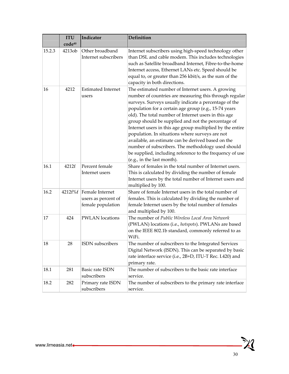|        | <b>ITU</b>       | Indicator                                                           | <b>Definition</b>                                                                                                                                                                                                                                                                                                                                                                                                                                                                                                                                                                                                                                                 |
|--------|------------------|---------------------------------------------------------------------|-------------------------------------------------------------------------------------------------------------------------------------------------------------------------------------------------------------------------------------------------------------------------------------------------------------------------------------------------------------------------------------------------------------------------------------------------------------------------------------------------------------------------------------------------------------------------------------------------------------------------------------------------------------------|
| 15.2.3 | code40<br>4213ob | Other broadband                                                     | Internet subscribers using high-speed technology other                                                                                                                                                                                                                                                                                                                                                                                                                                                                                                                                                                                                            |
|        |                  | Internet subscribers                                                | than DSL and cable modem. This includes technologies<br>such as Satellite broadband Internet, Fibre-to-the-home<br>Internet access, Ethernet LANs etc. Speed should be<br>equal to, or greater than 256 kbit/s, as the sum of the<br>capacity in both directions.                                                                                                                                                                                                                                                                                                                                                                                                 |
| 16     | 4212             | <b>Estimated Internet</b><br>users                                  | The estimated number of Internet users. A growing<br>number of countries are measuring this through regular<br>surveys. Surveys usually indicate a percentage of the<br>population for a certain age group (e.g., 15-74 years<br>old). The total number of Internet users in this age<br>group should be supplied and not the percentage of<br>Internet users in this age group multiplied by the entire<br>population. In situations where surveys are not<br>available, an estimate can be derived based on the<br>number of subscribers. The methodology used should<br>be supplied, including reference to the frequency of use<br>(e.g., in the last month). |
| 16.1   | 4212f            | Percent female<br>Internet users                                    | Share of females in the total number of Internet users.<br>This is calculated by dividing the number of female<br>Internet users by the total number of Internet users and<br>multiplied by 100.                                                                                                                                                                                                                                                                                                                                                                                                                                                                  |
| 16.2   |                  | 4212f%f Female Internet<br>users as percent of<br>female population | Share of female Internet users in the total number of<br>females. This is calculated by dividing the number of<br>female Internet users by the total number of females<br>and multiplied by 100.                                                                                                                                                                                                                                                                                                                                                                                                                                                                  |
| 17     | 424              | <b>PWLAN</b> locations                                              | The number of Public Wireless Local Area Network<br>(PWLAN) locations (i.e., hotspots). PWLANs are based<br>on the IEEE 802.1b standard, commonly referred to as<br>WiFi.                                                                                                                                                                                                                                                                                                                                                                                                                                                                                         |
| 18     | 28               | ISDN subscribers                                                    | The number of subscribers to the Integrated Services<br>Digital Network (ISDN). This can be separated by basic<br>rate interface service (i.e., 2B+D, ITU-T Rec. I.420) and<br>primary rate.                                                                                                                                                                                                                                                                                                                                                                                                                                                                      |
| 18.1   | 281              | Basic rate ISDN<br>subscribers                                      | The number of subscribers to the basic rate interface<br>service.                                                                                                                                                                                                                                                                                                                                                                                                                                                                                                                                                                                                 |
| 18.2   | 282              | Primary rate ISDN<br>subscribers                                    | The number of subscribers to the primary rate interface<br>service.                                                                                                                                                                                                                                                                                                                                                                                                                                                                                                                                                                                               |

<u> XI</u>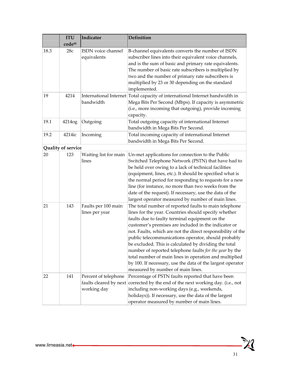|      | <b>ITU</b><br>code <sup>40</sup> | Indicator                                                     | <b>Definition</b>                                                                                                                                                                                                                                                                                                                                                                                                                                                                                                                                                                                                              |
|------|----------------------------------|---------------------------------------------------------------|--------------------------------------------------------------------------------------------------------------------------------------------------------------------------------------------------------------------------------------------------------------------------------------------------------------------------------------------------------------------------------------------------------------------------------------------------------------------------------------------------------------------------------------------------------------------------------------------------------------------------------|
| 18.3 | 28c                              | ISDN voice channel<br>equivalents                             | B-channel equivalents converts the number of ISDN<br>subscriber lines into their equivalent voice channels,<br>and is the sum of basic and primary rate equivalents.<br>The number of basic rate subscribers is multiplied by<br>two and the number of primary rate subscribers is<br>multiplied by 23 or 30 depending on the standard<br>implemented.                                                                                                                                                                                                                                                                         |
| 19   | 4214                             | bandwidth                                                     | International Internet Total capacity of international Internet bandwidth in<br>Mega Bits Per Second (Mbps). If capacity is asymmetric<br>(i.e., more incoming that outgoing), provide incoming<br>capacity.                                                                                                                                                                                                                                                                                                                                                                                                                   |
| 19.1 | 4214og                           | Outgoing                                                      | Total outgoing capacity of international Internet<br>bandwidth in Mega Bits Per Second.                                                                                                                                                                                                                                                                                                                                                                                                                                                                                                                                        |
| 19.2 | 4214ic                           | Incoming                                                      | Total incoming capacity of international Internet<br>bandwidth in Mega Bits Per Second.                                                                                                                                                                                                                                                                                                                                                                                                                                                                                                                                        |
|      | Quality of service               |                                                               |                                                                                                                                                                                                                                                                                                                                                                                                                                                                                                                                                                                                                                |
| 20   | 123                              | Waiting list for main<br>lines                                | Un-met applications for connection to the Public<br>Switched Telephone Network (PSTN) that have had to<br>be held over owing to a lack of technical facilities<br>(equipment, lines, etc.). It should be specified what is<br>the normal period for responding to requests for a new<br>line (for instance, no more than two weeks from the<br>date of the request). If necessary, use the data of the<br>largest operator measured by number of main lines.                                                                                                                                                                   |
| 21   | 143                              | Faults per 100 main<br>lines per year                         | The total number of reported faults to main telephone<br>lines for the year. Countries should specify whether<br>faults due to faulty terminal equipment on the<br>customer's premises are included in the indicator or<br>not. Faults, which are not the direct responsibility of the<br>public telecommunications operator, should probably<br>be excluded. This is calculated by dividing the total<br>number of reported telephone faults for the year by the<br>total number of main lines in operation and multiplied<br>by 100. If necessary, use the data of the largest operator<br>measured by number of main lines. |
| 22   | 141                              | Percent of telephone<br>faults cleared by next<br>working day | Percentage of PSTN faults reported that have been<br>corrected by the end of the next working day. (i.e., not<br>including non-working days (e.g., weekends,<br>holidays)). If necessary, use the data of the largest<br>operator measured by number of main lines.                                                                                                                                                                                                                                                                                                                                                            |

<u> 汉</u>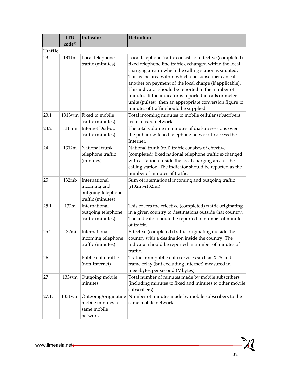|         | <b>ITU</b>         | Indicator                                                                  | <b>Definition</b>                                                                                                                                                                                                                                                                                                                                                                                                                                                                                                          |
|---------|--------------------|----------------------------------------------------------------------------|----------------------------------------------------------------------------------------------------------------------------------------------------------------------------------------------------------------------------------------------------------------------------------------------------------------------------------------------------------------------------------------------------------------------------------------------------------------------------------------------------------------------------|
|         | code <sup>40</sup> |                                                                            |                                                                                                                                                                                                                                                                                                                                                                                                                                                                                                                            |
| Traffic |                    |                                                                            |                                                                                                                                                                                                                                                                                                                                                                                                                                                                                                                            |
| 23      | 1311m              | Local telephone<br>traffic (minutes)                                       | Local telephone traffic consists of effective (completed)<br>fixed telephone line traffic exchanged within the local<br>charging area in which the calling station is situated.<br>This is the area within which one subscriber can call<br>another on payment of the local charge (if applicable).<br>This indicator should be reported in the number of<br>minutes. If the indicator is reported in calls or meter<br>units (pulses), then an appropriate conversion figure to<br>minutes of traffic should be supplied. |
| 23.1    |                    | 1313wm Fixed to mobile<br>traffic (minutes)                                | Total incoming minutes to mobile cellular subscribers<br>from a fixed network.                                                                                                                                                                                                                                                                                                                                                                                                                                             |
| 23.2    | 1311im             | Internet Dial-up<br>traffic (minutes)                                      | The total volume in minutes of dial-up sessions over<br>the public switched telephone network to access the<br>Internet.                                                                                                                                                                                                                                                                                                                                                                                                   |
| 24      | 1312m              | National trunk<br>telephone traffic<br>(minutes)                           | National trunk (toll) traffic consists of effective<br>(completed) fixed national telephone traffic exchanged<br>with a station outside the local charging area of the<br>calling station. The indicator should be reported as the<br>number of minutes of traffic.                                                                                                                                                                                                                                                        |
| 25      | 132mb              | International<br>incoming and<br>outgoing telephone<br>traffic (minutes)   | Sum of international incoming and outgoing traffic<br>(i132m+i132mi).                                                                                                                                                                                                                                                                                                                                                                                                                                                      |
| 25.1    | 132m               | International<br>outgoing telephone<br>traffic (minutes)                   | This covers the effective (completed) traffic originating<br>in a given country to destinations outside that country.<br>The indicator should be reported in number of minutes<br>of traffic.                                                                                                                                                                                                                                                                                                                              |
| 25.2    | 132mi              | International<br>incoming telephone<br>traffic (minutes)                   | Effective (completed) traffic originating outside the<br>country with a destination inside the country. The<br>indicator should be reported in number of minutes of<br>traffic.                                                                                                                                                                                                                                                                                                                                            |
| 26      |                    | Public data traffic<br>(non-Internet)                                      | Traffic from public data services such as X.25 and<br>frame-relay (but excluding Internet) measured in<br>megabytes per second (Mbytes).                                                                                                                                                                                                                                                                                                                                                                                   |
| 27      | 133wm              | Outgoing mobile<br>minutes                                                 | Total number of minutes made by mobile subscribers<br>(including minutes to fixed and minutes to other mobile<br>subscribers).                                                                                                                                                                                                                                                                                                                                                                                             |
| 27.1.1  |                    | 1331wm Outgoing/originating<br>mobile minutes to<br>same mobile<br>network | Number of minutes made by mobile subscribers to the<br>same mobile network.                                                                                                                                                                                                                                                                                                                                                                                                                                                |

 $\mathbb{X}$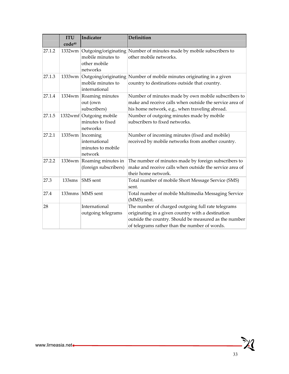|        | <b>ITU</b><br>code40 | Indicator                                                        | <b>Definition</b>                                                                                                                                                                                                 |
|--------|----------------------|------------------------------------------------------------------|-------------------------------------------------------------------------------------------------------------------------------------------------------------------------------------------------------------------|
| 27.1.2 |                      | mobile minutes to<br>other mobile<br>networks                    | 1332wm Outgoing/originating Number of minutes made by mobile subscribers to<br>other mobile networks.                                                                                                             |
| 27.1.3 |                      | mobile minutes to<br>international                               | 1333wm Outgoing/originating Number of mobile minutes originating in a given<br>country to destinations outside that country.                                                                                      |
| 27.1.4 | 1334wm               | Roaming minutes<br>out (own<br>subscribers)                      | Number of minutes made by own mobile subscribers to<br>make and receive calls when outside the service area of<br>his home network, e.g., when traveling abroad.                                                  |
| 27.1.5 |                      | 1332wmf Outgoing mobile<br>minutes to fixed<br>networks          | Number of outgoing minutes made by mobile<br>subscribers to fixed networks.                                                                                                                                       |
| 27.2.1 |                      | 1335wm Incoming<br>international<br>minutes to mobile<br>network | Number of incoming minutes (fixed and mobile)<br>received by mobile networks from another country.                                                                                                                |
| 27.2.2 |                      | 1336wm Roaming minutes in<br>(foreign subscribers)               | The number of minutes made by foreign subscribers to<br>make and receive calls when outside the service area of<br>their home network.                                                                            |
| 27.3   | 133sms               | SMS sent                                                         | Total number of mobile Short Message Service (SMS)<br>sent.                                                                                                                                                       |
| 27.4   | 133mms               | MMS sent                                                         | Total number of mobile Multimedia Messaging Service<br>(MMS) sent.                                                                                                                                                |
| 28     |                      | International<br>outgoing telegrams                              | The number of charged outgoing full rate telegrams<br>originating in a given country with a destination<br>outside the country. Should be measured as the number<br>of telegrams rather than the number of words. |

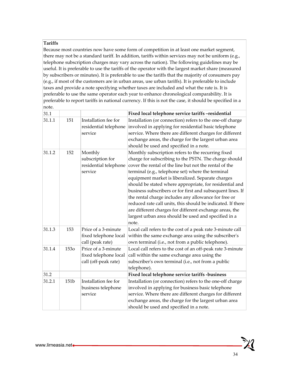#### **Tariffs**

Because most countries now have some form of competition in at least one market segment, there may not be a standard tariff. In addition, tariffs within services may not be uniform (e.g., telephone subscription charges may vary across the nation). The following guidelines may be useful. It is preferable to use the tariffs of the operator with the largest market share (measured by subscribers or minutes). It is preferable to use the tariffs that the majority of consumers pay (e.g., if most of the customers are in urban areas, use urban tariffs). It is preferable to include taxes and provide a note specifying whether taxes are included and what the rate is. It is preferable to use the same operator each year to enhance chronological comparability. It is preferable to report tariffs in national currency. If this is not the case, it should be specified in a note.

| $31.1\,$ |      |                                                                      | Fixed local telephone service tariffs-residential                                                                                                                                                                                                                                                                                                                                                                                                                                                                                                                                                                                                           |
|----------|------|----------------------------------------------------------------------|-------------------------------------------------------------------------------------------------------------------------------------------------------------------------------------------------------------------------------------------------------------------------------------------------------------------------------------------------------------------------------------------------------------------------------------------------------------------------------------------------------------------------------------------------------------------------------------------------------------------------------------------------------------|
| 31.1.1   | 151  | Installation fee for<br>residential telephone<br>service             | Installation (or connection) refers to the one-off charge<br>involved in applying for residential basic telephone<br>service. Where there are different charges for different<br>exchange areas, the charge for the largest urban area<br>should be used and specified in a note.                                                                                                                                                                                                                                                                                                                                                                           |
| 31.1.2   | 152  | Monthly<br>subscription for<br>residential telephone<br>service      | Monthly subscription refers to the recurring fixed<br>charge for subscribing to the PSTN. The charge should<br>cover the rental of the line but not the rental of the<br>terminal (e.g., telephone set) where the terminal<br>equipment market is liberalized. Separate charges<br>should be stated where appropriate, for residential and<br>business subscribers or for first and subsequent lines. If<br>the rental charge includes any allowance for free or<br>reduced rate call units, this should be indicated. If there<br>are different charges for different exchange areas, the<br>largest urban area should be used and specified in a<br>note. |
| 31.1.3   | 153  | Price of a 3-minute<br>fixed telephone local<br>call (peak rate)     | Local call refers to the cost of a peak rate 3-minute call<br>within the same exchange area using the subscriber's<br>own terminal (i.e., not from a public telephone).                                                                                                                                                                                                                                                                                                                                                                                                                                                                                     |
| 31.1.4   | 1530 | Price of a 3-minute<br>fixed telephone local<br>call (off-peak rate) | Local call refers to the cost of an off-peak rate 3-minute<br>call within the same exchange area using the<br>subscriber's own terminal (i.e., not from a public<br>telephone).                                                                                                                                                                                                                                                                                                                                                                                                                                                                             |
| 31.2     |      |                                                                      | Fixed local telephone service tariffs -business                                                                                                                                                                                                                                                                                                                                                                                                                                                                                                                                                                                                             |
| 31.2.1   | 151b | Installation fee for<br>business telephone<br>service                | Installation (or connection) refers to the one-off charge<br>involved in applying for business basic telephone<br>service. Where there are different charges for different<br>exchange areas, the charge for the largest urban area<br>should be used and specified in a note.                                                                                                                                                                                                                                                                                                                                                                              |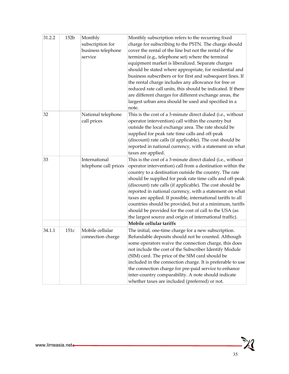| 31.2.2 | 152 <sub>b</sub> | Monthly<br>subscription for<br>business telephone<br>service | Monthly subscription refers to the recurring fixed<br>charge for subscribing to the PSTN. The charge should<br>cover the rental of the line but not the rental of the<br>terminal (e.g., telephone set) where the terminal<br>equipment market is liberalized. Separate charges<br>should be stated where appropriate, for residential and<br>business subscribers or for first and subsequent lines. If<br>the rental charge includes any allowance for free or<br>reduced rate call units, this should be indicated. If there<br>are different charges for different exchange areas, the<br>largest urban area should be used and specified in a<br>note. |
|--------|------------------|--------------------------------------------------------------|-------------------------------------------------------------------------------------------------------------------------------------------------------------------------------------------------------------------------------------------------------------------------------------------------------------------------------------------------------------------------------------------------------------------------------------------------------------------------------------------------------------------------------------------------------------------------------------------------------------------------------------------------------------|
| 32     |                  | National telephone<br>call prices                            | This is the cost of a 3-minute direct dialed (i.e., without<br>operator intervention) call within the country but<br>outside the local exchange area. The rate should be<br>supplied for peak rate time calls and off-peak<br>(discount) rate calls (if applicable). The cost should be<br>reported in national currency, with a statement on what<br>taxes are applied.                                                                                                                                                                                                                                                                                    |
| 33     |                  | International<br>telephone call prices                       | This is the cost of a 3-minute direct dialed (i.e., without<br>operator intervention) call from a destination within the<br>country to a destination outside the country. The rate<br>should be supplied for peak rate time calls and off-peak<br>(discount) rate calls (if applicable). The cost should be<br>reported in national currency, with a statement on what<br>taxes are applied. If possible, international tariffs to all<br>countries should be provided, but at a minimum, tariffs<br>should be provided for the cost of call to the USA (as<br>the largest source and origin of international traffic).                                     |
|        |                  |                                                              | Mobile cellular tariffs                                                                                                                                                                                                                                                                                                                                                                                                                                                                                                                                                                                                                                     |
| 34.1.1 | 151c             | Mobile cellular<br>connection charge                         | The initial, one-time charge for a new subscription.<br>Refundable deposits should not be counted. Although<br>some operators waive the connection charge, this does<br>not include the cost of the Subscriber Identify Module<br>(SIM) card. The price of the SIM card should be<br>included in the connection charge. It is preferable to use<br>the connection charge for pre-paid service to enhance<br>inter-country comparability. A note should indicate<br>whether taxes are included (preferred) or not.                                                                                                                                           |

 $\mathbb{X}$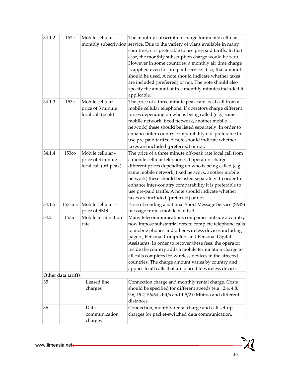| 34.1.2 | 152c               | Mobile cellular                                                 | The monthly subscription charge for mobile cellular<br>monthly subscription service. Due to the variety of plans available in many<br>countries, it is preferable to use pre-paid tariffs. In that<br>case, the monthly subscription charge would be zero.<br>However in some countries, a monthly air time charge<br>is applied even for pre-paid service. If so, that amount<br>should be used. A note should indicate whether taxes<br>are included (preferred) or not. The note should also<br>specify the amount of free monthly minutes included if<br>applicable. |
|--------|--------------------|-----------------------------------------------------------------|--------------------------------------------------------------------------------------------------------------------------------------------------------------------------------------------------------------------------------------------------------------------------------------------------------------------------------------------------------------------------------------------------------------------------------------------------------------------------------------------------------------------------------------------------------------------------|
| 34.1.3 | 153c               | Mobile cellular -<br>price of 3 minute<br>local call (peak)     | The price of a three minute peak rate local call from a<br>mobile cellular telephone. If operators charge different<br>prices depending on who is being called (e.g., same<br>mobile network, fixed network, another mobile<br>network) these should be listed separately. In order to<br>enhance inter-country comparability it is preferable to<br>use pre-paid tariffs. A note should indicate whether<br>taxes are included (preferred) or not.                                                                                                                      |
| 34.1.4 | <b>153co</b>       | Mobile cellular -<br>price of 3 minute<br>local call (off-peak) | The price of a three minute off-peak rate local call from<br>a mobile cellular telephone. If operators charge<br>different prices depending on who is being called (e.g.,<br>same mobile network, fixed network, another mobile<br>network) these should be listed separately. In order to<br>enhance inter-country comparability it is preferable to<br>use pre-paid tariffs. A note should indicate whether<br>taxes are included (preferred) or not.                                                                                                                  |
| 34.1.5 | 153sms             | Mobile cellular-<br>price of SMS                                | Price of sending a national Short Message Service (SMS)<br>message from a mobile handset.                                                                                                                                                                                                                                                                                                                                                                                                                                                                                |
| 34.2   | 153m               | Mobile termination<br>rate                                      | Many telecommunications companies outside a country<br>now impose substantial fees to complete telephone calls<br>to mobile phones and other wireless devices including<br>pagers, Personal Computers and Personal Digital<br>Assistants. In order to recover these fees, the operator<br>inside the country adds a mobile termination charge to<br>all calls completed to wireless devices in the affected<br>countries. The charge amount varies by country and<br>applies to all calls that are placed to wireless device.                                            |
|        | Other data tariffs |                                                                 |                                                                                                                                                                                                                                                                                                                                                                                                                                                                                                                                                                          |
| 35     |                    | Leased line<br>charges                                          | Connection charge and monthly rental charge. Costs<br>should be specified for different speeds (e.g., 2.4, 4.8,<br>9.6, 19.2, 56/64 kbit/s and 1.5/2.0 Mbit/s) and different<br>distances                                                                                                                                                                                                                                                                                                                                                                                |
| 36     |                    | Data<br>communication<br>charges                                | Connection, monthly rental charge and call set-up<br>charges for packet-switched data communication.                                                                                                                                                                                                                                                                                                                                                                                                                                                                     |

<u> XI</u>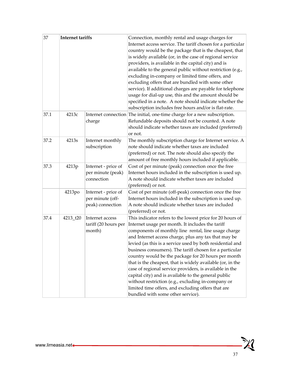| 37   | <b>Internet tariffs</b> |                                                             | Connection, monthly rental and usage charges for<br>Internet access service. The tariff chosen for a particular<br>country would be the package that is the cheapest, that<br>is widely available (or, in the case of regional service<br>providers, is available in the capital city) and is<br>available to the general public without restriction (e.g.,<br>excluding in-company or limited time offers, and<br>excluding offers that are bundled with some other<br>service). If additional charges are payable for telephone<br>usage for dial-up use, this and the amount should be<br>specified in a note. A note should indicate whether the<br>subscription includes free hours and/or is flat-rate.                                  |
|------|-------------------------|-------------------------------------------------------------|------------------------------------------------------------------------------------------------------------------------------------------------------------------------------------------------------------------------------------------------------------------------------------------------------------------------------------------------------------------------------------------------------------------------------------------------------------------------------------------------------------------------------------------------------------------------------------------------------------------------------------------------------------------------------------------------------------------------------------------------|
| 37.1 | 4213c                   | charge                                                      | Internet connection The initial, one-time charge for a new subscription.<br>Refundable deposits should not be counted. A note<br>should indicate whether taxes are included (preferred)<br>or not.                                                                                                                                                                                                                                                                                                                                                                                                                                                                                                                                             |
| 37.2 | 4213s                   | Internet monthly<br>subscription                            | The monthly subscription charge for Internet service. A<br>note should indicate whether taxes are included<br>(preferred) or not. The note should also specify the<br>amount of free monthly hours included if applicable.                                                                                                                                                                                                                                                                                                                                                                                                                                                                                                                     |
| 37.3 | 4213p                   | Internet - price of<br>per minute (peak)<br>connection      | Cost of per minute (peak) connection once the free<br>Internet hours included in the subscription is used up.<br>A note should indicate whether taxes are included<br>(preferred) or not.                                                                                                                                                                                                                                                                                                                                                                                                                                                                                                                                                      |
|      | 4213po                  | Internet - price of<br>per minute (off-<br>peak) connection | Cost of per minute (off-peak) connection once the free<br>Internet hours included in the subscription is used up.<br>A note should indicate whether taxes are included<br>(preferred) or not.                                                                                                                                                                                                                                                                                                                                                                                                                                                                                                                                                  |
| 37.4 | 4213 t20                | Internet access<br>tariff (20 hours per<br>month)           | This indicator refers to the lowest price for 20 hours of<br>Internet usage per month. It includes the tariff<br>components of monthly line rental, line usage charge<br>and Internet access charge, plus any tax that may be<br>levied (as this is a service used by both residential and<br>business consumers). The tariff chosen for a particular<br>country would be the package for 20 hours per month<br>that is the cheapest, that is widely available (or, in the<br>case of regional service providers, is available in the<br>capital city) and is available to the general public<br>without restriction (e.g., excluding in-company or<br>limited time offers, and excluding offers that are<br>bundled with some other service). |

 $\mathbb{X}$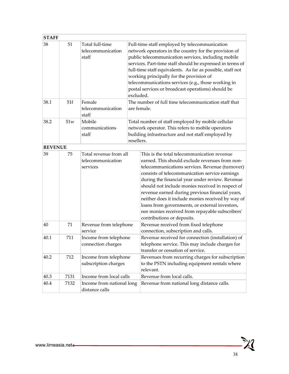| <b>STAFF</b>   |      |                                                         |            |                                                                                                                                                                                                                                                                                                                                                                                                                                                                                                                                                      |
|----------------|------|---------------------------------------------------------|------------|------------------------------------------------------------------------------------------------------------------------------------------------------------------------------------------------------------------------------------------------------------------------------------------------------------------------------------------------------------------------------------------------------------------------------------------------------------------------------------------------------------------------------------------------------|
| 38             | 51   | Total full-time<br>telecommunication<br>staff           | excluded.  | Full-time staff employed by telecommunication<br>network operators in the country for the provision of<br>public telecommunication services, including mobile<br>services. Part-time staff should be expressed in terms of<br>full-time staff equivalents. As far as possible, staff not<br>working principally for the provision of<br>telecommunications services (e.g., those working in<br>postal services or broadcast operations) should be                                                                                                    |
| 38.1           | 51f  | Female<br>telecommunication<br>staff                    |            | The number of full time telecommunication staff that<br>are female.                                                                                                                                                                                                                                                                                                                                                                                                                                                                                  |
| 38.2           | 51w  | Mobile<br>communications<br>staff                       | resellers. | Total number of staff employed by mobile cellular<br>network operator. This refers to mobile operators<br>building infrastructure and not staff employed by                                                                                                                                                                                                                                                                                                                                                                                          |
| <b>REVENUE</b> |      |                                                         |            |                                                                                                                                                                                                                                                                                                                                                                                                                                                                                                                                                      |
| 39             | 75   | Total revenue from all<br>telecommunication<br>services |            | This is the total telecommunication revenue<br>earned. This should exclude revenues from non-<br>telecommunications services. Revenue (turnover)<br>consists of telecommunication service earnings<br>during the financial year under review. Revenue<br>should not include monies received in respect of<br>revenue earned during previous financial years,<br>neither does it include monies received by way of<br>loans from governments, or external investors,<br>nor monies received from repayable subscribers'<br>contributions or deposits. |
| 40             | 71   | Revenue from telephone<br>service                       |            | Revenue received from fixed telephone<br>connection, subscription and calls.                                                                                                                                                                                                                                                                                                                                                                                                                                                                         |
| 40.1           | 711  | Income from telephone<br>connection charges             |            | Revenue received for connection (installation) of<br>telephone service. This may include charges for<br>transfer or cessation of service.                                                                                                                                                                                                                                                                                                                                                                                                            |
| 40.2           | 712  | Income from telephone<br>subscription charges           |            | Revenues from recurring charges for subscription<br>to the PSTN including equipment rentals where<br>relevant.                                                                                                                                                                                                                                                                                                                                                                                                                                       |
| 40.3           | 7131 | Income from local calls                                 |            | Revenue from local calls.                                                                                                                                                                                                                                                                                                                                                                                                                                                                                                                            |
| 40.4           | 7132 | Income from national long<br>distance calls             |            | Revenue from national long distance calls.                                                                                                                                                                                                                                                                                                                                                                                                                                                                                                           |

<u>- XI</u>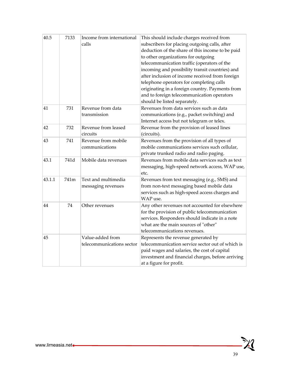| 40.5   | 7133 | Income from international<br>calls            | This should include charges received from<br>subscribers for placing outgoing calls, after<br>deduction of the share of this income to be paid<br>to other organizations for outgoing<br>telecommunication traffic (operators of the<br>incoming and possibility transit countries) and<br>after inclusion of income received from foreign<br>telephone operators for completing calls<br>originating in a foreign country. Payments from<br>and to foreign telecommunication operators<br>should be listed separately. |
|--------|------|-----------------------------------------------|-------------------------------------------------------------------------------------------------------------------------------------------------------------------------------------------------------------------------------------------------------------------------------------------------------------------------------------------------------------------------------------------------------------------------------------------------------------------------------------------------------------------------|
| 41     | 731  | Revenue from data<br>transmission             | Revenues from data services such as data<br>communications (e.g., packet switching) and<br>Internet access but not telegram or telex.                                                                                                                                                                                                                                                                                                                                                                                   |
| 42     | 732  | Revenue from leased<br>circuits               | Revenue from the provision of leased lines<br>(circuits).                                                                                                                                                                                                                                                                                                                                                                                                                                                               |
| 43     | 741  | Revenue from mobile<br>communications         | Revenues from the provision of all types of<br>mobile communications services such cellular,<br>private trunked radio and radio paging.                                                                                                                                                                                                                                                                                                                                                                                 |
| 43.1   | 741d | Mobile data revenues                          | Revenues from mobile data services such as text<br>messaging, high-speed network access, WAP use,<br>etc.                                                                                                                                                                                                                                                                                                                                                                                                               |
| 43.1.1 | 741m | Text and multimedia<br>messaging revenues     | Revenues from text messaging (e.g., SMS) and<br>from non-text messaging based mobile data<br>services such as high-speed access charges and<br>WAP use.                                                                                                                                                                                                                                                                                                                                                                 |
| 44     | 74   | Other revenues                                | Any other revenues not accounted for elsewhere<br>for the provision of public telecommunication<br>services. Responders should indicate in a note<br>what are the main sources of "other"<br>telecommunications revenues.                                                                                                                                                                                                                                                                                               |
| 45     |      | Value-added from<br>telecommunications sector | Represents the revenue generated by<br>telecommunication service sector out of which is<br>paid wages and salaries, the cost of capital<br>investment and financial charges, before arriving<br>at a figure for profit.                                                                                                                                                                                                                                                                                                 |

 $\mathbb{X}$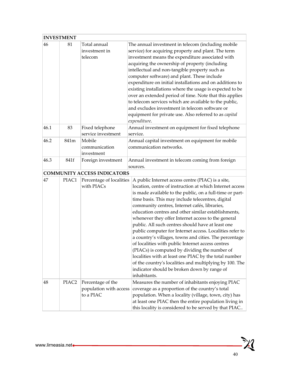## **INVESTMENT**

| 46   | 81                | Total annual<br>investment in<br>telecom                                                                                                                                                                                                                                                                                                                                                                                                                                                                                                                                                                                                                                                                                                                                                                                                                                                                   | The annual investment in telecom (including mobile<br>service) for acquiring property and plant. The term<br>investment means the expenditure associated with<br>acquiring the ownership of property (including<br>intellectual and non-tangible property such as<br>computer software) and plant. These include<br>expenditure on initial installations and on additions to<br>existing installations where the usage is expected to be<br>over an extended period of time. Note that this applies<br>to telecom services which are available to the public,<br>and excludes investment in telecom software or<br>equipment for private use. Also referred to as capital<br>expenditure. |
|------|-------------------|------------------------------------------------------------------------------------------------------------------------------------------------------------------------------------------------------------------------------------------------------------------------------------------------------------------------------------------------------------------------------------------------------------------------------------------------------------------------------------------------------------------------------------------------------------------------------------------------------------------------------------------------------------------------------------------------------------------------------------------------------------------------------------------------------------------------------------------------------------------------------------------------------------|-------------------------------------------------------------------------------------------------------------------------------------------------------------------------------------------------------------------------------------------------------------------------------------------------------------------------------------------------------------------------------------------------------------------------------------------------------------------------------------------------------------------------------------------------------------------------------------------------------------------------------------------------------------------------------------------|
| 46.1 | 83                | Fixed telephone<br>service investment                                                                                                                                                                                                                                                                                                                                                                                                                                                                                                                                                                                                                                                                                                                                                                                                                                                                      | Annual investment on equipment for fixed telephone<br>service.                                                                                                                                                                                                                                                                                                                                                                                                                                                                                                                                                                                                                            |
| 46.2 | 841m              | Mobile<br>communication<br>investment                                                                                                                                                                                                                                                                                                                                                                                                                                                                                                                                                                                                                                                                                                                                                                                                                                                                      | Annual capital investment on equipment for mobile<br>communication networks.                                                                                                                                                                                                                                                                                                                                                                                                                                                                                                                                                                                                              |
| 46.3 | 841f              | Foreign investment                                                                                                                                                                                                                                                                                                                                                                                                                                                                                                                                                                                                                                                                                                                                                                                                                                                                                         | Annual investment in telecom coming from foreign<br>sources.                                                                                                                                                                                                                                                                                                                                                                                                                                                                                                                                                                                                                              |
|      |                   | <b>COMMUNITY ACCESS INDICATORS</b>                                                                                                                                                                                                                                                                                                                                                                                                                                                                                                                                                                                                                                                                                                                                                                                                                                                                         |                                                                                                                                                                                                                                                                                                                                                                                                                                                                                                                                                                                                                                                                                           |
| 47   | PIAC1             | A public Internet access centre (PIAC) is a site,<br>Percentage of localities<br>with PIACs<br>location, centre of instruction at which Internet access<br>is made available to the public, on a full-time or part-<br>time basis. This may include telecentres, digital<br>community centres, Internet cafés, libraries,<br>education centres and other similar establishments,<br>whenever they offer Internet access to the general<br>public. All such centres should have at least one<br>public computer for Internet access. Localities refer to<br>a country's villages, towns and cities. The percentage<br>of localities with public Internet access centres<br>(PIACs) is computed by dividing the number of<br>localities with at least one PIAC by the total number<br>of the country's localities and multiplying by 100. The<br>indicator should be broken down by range of<br>inhabitants. |                                                                                                                                                                                                                                                                                                                                                                                                                                                                                                                                                                                                                                                                                           |
| 48   | PIAC <sub>2</sub> | Percentage of the<br>population with access<br>to a PIAC                                                                                                                                                                                                                                                                                                                                                                                                                                                                                                                                                                                                                                                                                                                                                                                                                                                   | Measures the number of inhabitants enjoying PIAC<br>coverage as a proportion of the country's total<br>population. When a locality (village, town, city) has<br>at least one PIAC then the entire population living in<br>this locality is considered to be served by that PIAC                                                                                                                                                                                                                                                                                                                                                                                                           |

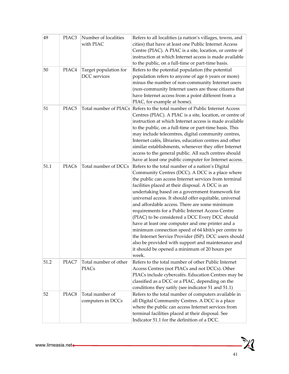| 49   | PIAC <sub>3</sub> | Number of localities<br>with PIAC     | Refers to all localities (a nation's villages, towns, and<br>cities) that have at least one Public Internet Access<br>Centre (PIAC). A PIAC is a site, location, or centre of<br>instruction at which Internet access is made available<br>to the public, on a full-time or part-time basis.                                                                                                                                                                                                                                                                                                                                                                                                                                                                            |
|------|-------------------|---------------------------------------|-------------------------------------------------------------------------------------------------------------------------------------------------------------------------------------------------------------------------------------------------------------------------------------------------------------------------------------------------------------------------------------------------------------------------------------------------------------------------------------------------------------------------------------------------------------------------------------------------------------------------------------------------------------------------------------------------------------------------------------------------------------------------|
| 50   | PIAC4             | Target population for<br>DCC services | Refers to the potential population (the potential<br>population refers to anyone of age 6 years or more)<br>minus the number of non-community Internet users<br>(non-community Internet users are those citizens that<br>have Internet access from a point different from a<br>PIAC, for example at home).                                                                                                                                                                                                                                                                                                                                                                                                                                                              |
| 51   | PIAC <sub>5</sub> |                                       | Total number of PIACs Refers to the total number of Public Internet Access<br>Centres (PIAC). A PIAC is a site, location, or centre of<br>instruction at which Internet access is made available<br>to the public, on a full-time or part-time basis. This<br>may include telecentres, digital community centres,<br>Internet cafés, libraries, education centres and other<br>similar establishments, whenever they offer Internet<br>access to the general public. All such centres should<br>have at least one public computer for Internet access.                                                                                                                                                                                                                  |
| 51.1 | PIAC <sub>6</sub> | Total number of DCCs                  | Refers to the total number of a nation's Digital<br>Community Centres (DCC). A DCC is a place where<br>the public can access Internet services from terminal<br>facilities placed at their disposal. A DCC is an<br>undertaking based on a government framework for<br>universal access. It should offer equitable, universal<br>and affordable access. There are some minimum<br>requirements for a Public Internet Access Centre<br>(PIAC) to be considered a DCC Every DCC should<br>have at least one computer and one printer and a<br>minimum connection speed of 64 kbit/s per centre to<br>the Internet Service Provider (ISP). DCC users should<br>also be provided with support and maintenance and<br>it should be opened a minimum of 20 hours per<br>week. |
| 51.2 | PIAC7             | Total number of other<br><b>PIACs</b> | Refers to the total number of other Public Internet<br>Access Centres (not PIACs and not DCCs). Other<br>PIACs include cybercafés. Education Centres may be<br>classified as a DCC or a PIAC, depending on the<br>conditions they satify (see indicator 51 and 51.1)                                                                                                                                                                                                                                                                                                                                                                                                                                                                                                    |
| 52   | PIAC8             | Total number of<br>computers in DCCs  | Refers to the total number of computers available in<br>all Digital Community Centres. A DCC is a place<br>where the public can access Internet services from<br>terminal facilities placed at their disposal. See<br>Indicator 51.1 for the definition of a DCC.                                                                                                                                                                                                                                                                                                                                                                                                                                                                                                       |

 $\mathbb{X}$